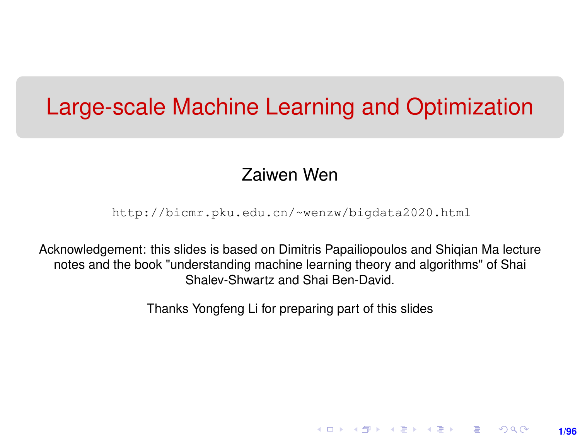## <span id="page-0-0"></span>Large-scale Machine Learning and Optimization

#### Zaiwen Wen

[http://bicmr.pku.edu.cn/~wenzw/bigdata2020.html](http://bicmr.pku.edu.cn/~wenzw/bigdata2020.html )

Acknowledgement: this slides is based on Dimitris Papailiopoulos and Shiqian Ma lecture notes and the book "understanding machine learning theory and algorithms" of Shai Shalev-Shwartz and Shai Ben-David.

Thanks Yongfeng Li for preparing part of this slides

★ ロチ ( 御 ) ( 제 할 ) ( 제 할 ) ( ) 할

**1/96**

 $2Q$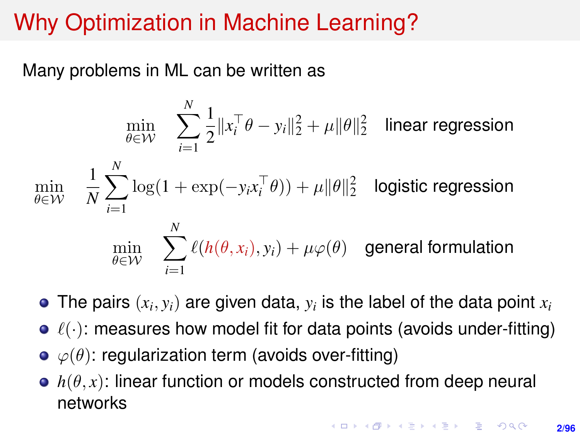# <span id="page-1-0"></span>Why Optimization in Machine Learning?

#### Many problems in ML can be written as

$$
\min_{\theta \in \mathcal{W}} \sum_{i=1}^{N} \frac{1}{2} \|x_i^{\top} \theta - y_i\|_2^2 + \mu \|\theta\|_2^2 \quad \text{linear regression}
$$
\n
$$
\min_{\theta \in \mathcal{W}} \sum_{i=1}^{N} \log(1 + \exp(-y_i x_i^{\top} \theta)) + \mu \|\theta\|_2^2 \quad \text{logistic regression}
$$
\n
$$
\min_{\theta \in \mathcal{W}} \sum_{i=1}^{N} \ell(h(\theta, x_i), y_i) + \mu \varphi(\theta) \quad \text{general formulation}
$$

- The pairs  $(x_i, y_i)$  are given data,  $y_i$  is the label of the data point  $x_i$
- $\bullet \ell(\cdot)$ : measures how model fit for data points (avoids under-fitting)
- $\bullet \varphi(\theta)$ : regularization term (avoids over-fitting)
- $\bullet$   $h(\theta, x)$ : linear function or models constructed from deep neural networks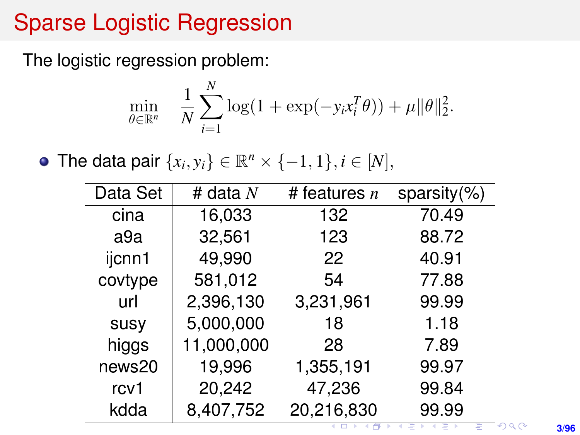# <span id="page-2-0"></span>Sparse Logistic Regression

The logistic regression problem:

$$
\min_{\theta \in \mathbb{R}^n} \quad \frac{1}{N} \sum_{i=1}^N \log(1 + \exp(-y_i x_i^T \theta)) + \mu \|\theta\|_2^2.
$$

The data pair  $\{x_i, y_i\} \in \mathbb{R}^n \times \{-1, 1\}, i \in [N],$ 

| Data Set | # data $N$ | # features $n$ | sparsity $(\%)$ |
|----------|------------|----------------|-----------------|
| cina     | 16,033     | 132            | 70.49           |
| a9a      | 32,561     | 123            | 88.72           |
| ijcnn1   | 49,990     | 22             | 40.91           |
| covtype  | 581,012    | 54             | 77.88           |
| url      | 2,396,130  | 3,231,961      | 99.99           |
| susy     | 5,000,000  | 18             | 1.18            |
| higgs    | 11,000,000 | 28             | 7.89            |
| news20   | 19,996     | 1,355,191      | 99.97           |
| rcv1     | 20,242     | 47,236         | 99.84           |
| kdda     | 8,407,752  | 20,216,830     | 99.99           |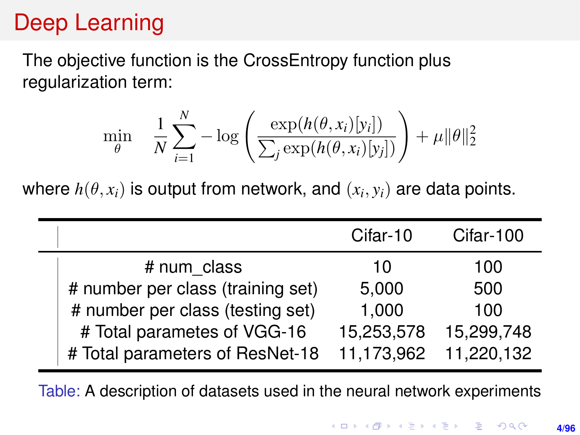# <span id="page-3-0"></span>Deep Learning

The objective function is the CrossEntropy function plus regularization term:

$$
\min_{\theta} \quad \frac{1}{N} \sum_{i=1}^{N} -\log \left( \frac{\exp(h(\theta, x_i)[y_i])}{\sum_{j} \exp(h(\theta, x_i)[y_j])} \right) + \mu \|\theta\|_2^2
$$

where  $h(\theta, x_i)$  is output from network, and  $(x_i, y_i)$  are data points.

|                                   | Cifar-10   | Cifar-100  |
|-----------------------------------|------------|------------|
| # num class                       | 10         | 100        |
| # number per class (training set) | 5,000      | 500        |
| # number per class (testing set)  | 1,000      | 100        |
| # Total parametes of VGG-16       | 15,253,578 | 15,299,748 |
| # Total parameters of ResNet-18   | 11,173,962 | 11,220,132 |

Table: A description of datasets used in the neural network experiments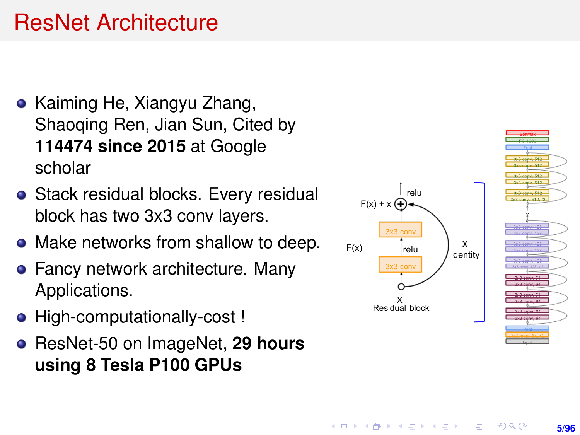# ResNet Architecture

- Kaiming He, Xiangyu Zhang, Shaoqing Ren, Jian Sun, Cited by **114474 since 2015** at Google scholar
- Stack residual blocks. Every residual block has two 3x3 conv layers.
- Make networks from shallow to deep.
- Fancy network architecture. Many Applications.
- High-computationally-cost !
- ResNet-50 on ImageNet, **29 hours using 8 Tesla P100 GPUs**

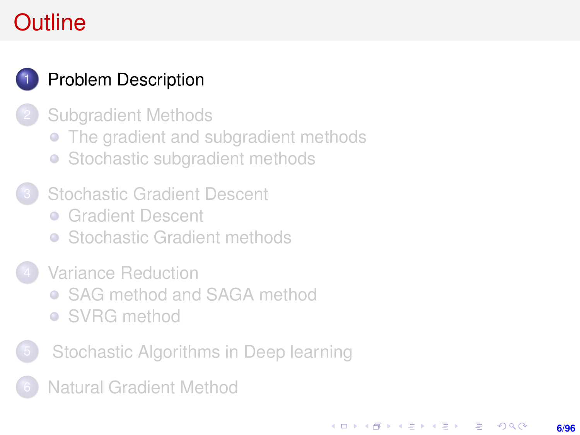# <span id="page-5-0"></span>**Outline**

### **[Problem Description](#page-5-0)**

#### [Subgradient Methods](#page-14-0)

- [The gradient and subgradient methods](#page-15-0)
- [Stochastic subgradient methods](#page-23-0)
- **[Stochastic Gradient Descent](#page-48-0)** 
	- **[Gradient Descent](#page-49-0)**
	- **[Stochastic Gradient methods](#page-57-0)**
- **[Variance Reduction](#page-64-0) • [SAG method and SAGA method](#page-68-0)** • [SVRG method](#page-70-0)
	- 5 [Stochastic Algorithms in Deep learning](#page-79-0)
	- **[Natural Gradient Method](#page-87-0)**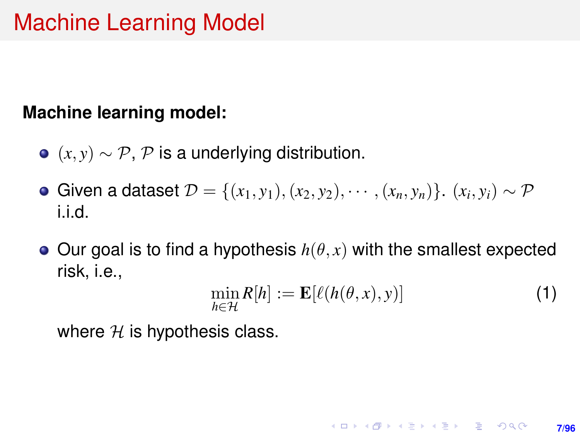## Machine Learning Model

#### **Machine learning model:**

- $\bullet$   $(x, y) \sim \mathcal{P}, \mathcal{P}$  is a underlying distribution.
- Given a dataset  $\mathcal{D} = \{(x_1, y_1), (x_2, y_2), \cdots, (x_n, y_n)\}\.$   $(x_i, y_i) \sim \mathcal{P}$ i.i.d.
- $\bullet$  Our goal is to find a hypothesis  $h(\theta, x)$  with the smallest expected risk, i.e.,

$$
\min_{h \in \mathcal{H}} R[h] := \mathbf{E}[\ell(h(\theta, x), y)] \tag{1}
$$

**KORKARK (EXIST) E MOOR** 

**7/96**

where  $H$  is hypothesis class.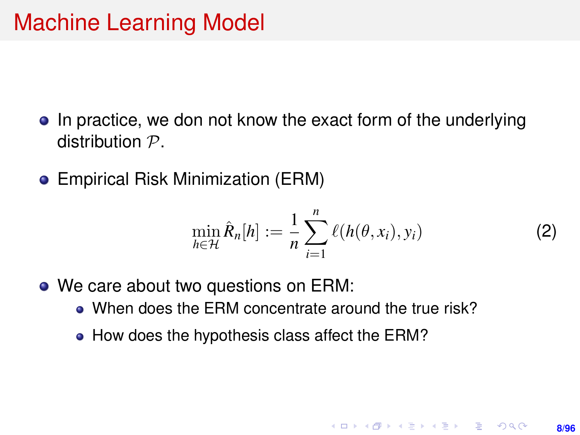- In practice, we don not know the exact form of the underlying distribution P.
- Empirical Risk Minimization (ERM)

$$
\min_{h \in \mathcal{H}} \hat{R}_n[h] := \frac{1}{n} \sum_{i=1}^n \ell(h(\theta, x_i), y_i)
$$
 (2)

- We care about two questions on ERM:
	- When does the ERM concentrate around the true risk?
	- How does the hypothesis class affect the ERM?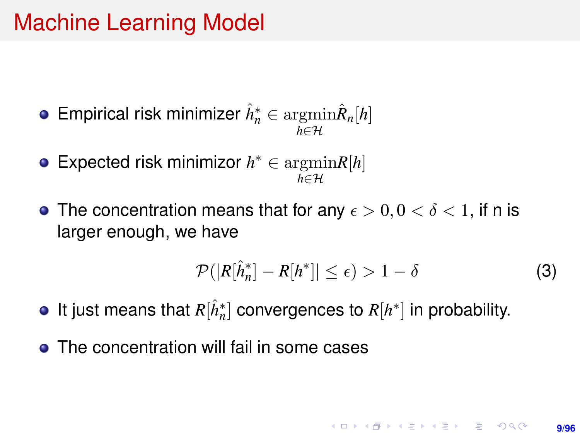## Machine Learning Model

- Empirical risk minimizer  $\hat{h}^*_n \in \mathrm{argmin} \hat{R}_n[h]$ *h*∈H
- Expected risk minimizor  $h^* \in \mathrm{argmin} R[h]$ *h*∈H
- The concentration means that for any  $\epsilon > 0, 0 < \delta < 1$ , if n is larger enough, we have

$$
\mathcal{P}(|R[\hat{h}_n^*]-R[h^*]| \leq \epsilon) > 1-\delta \tag{3}
$$

- It just means that  $R[\hat{h}_n^*]$  convergences to  $R[h^*]$  in probability.
- The concentration will fail in some cases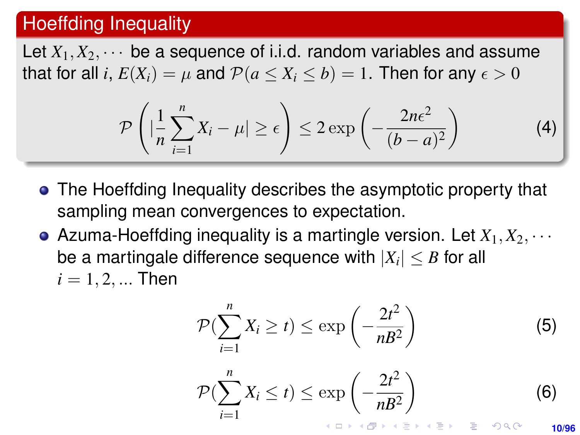#### Hoeffding Inequality

Let  $X_1, X_2, \cdots$  be a sequence of i.i.d. random variables and assume that for all *i*,  $E(X_i) = \mu$  and  $P(a \leq X_i \leq b) = 1$ . Then for any  $\epsilon > 0$ 

$$
\mathcal{P}\left(|\frac{1}{n}\sum_{i=1}^{n}X_{i}-\mu|\geq\epsilon\right)\leq2\exp\left(-\frac{2n\epsilon^{2}}{(b-a)^{2}}\right) \tag{4}
$$

- The Hoeffding Inequality describes the asymptotic property that sampling mean convergences to expectation.
- Azuma-Hoeffding inequality is a martingle version. Let  $X_1, X_2, \cdots$ be a martingale difference sequence with  $|X_i| \leq B$  for all  $i = 1, 2, ...$  Then

*i*=1

$$
\mathcal{P}(\sum_{i=1}^{n} X_i \ge t) \le \exp\left(-\frac{2t^2}{n^2}\right)
$$
\n
$$
\mathcal{P}(\sum_{i=1}^{n} X_i \le t) \le \exp\left(-\frac{2t^2}{n^2}\right)
$$
\n(5)

*nB*<sup>2</sup>

K □ X K @ X K 할 X K 할 X \_ 할 X Y Q Q O

**10/96**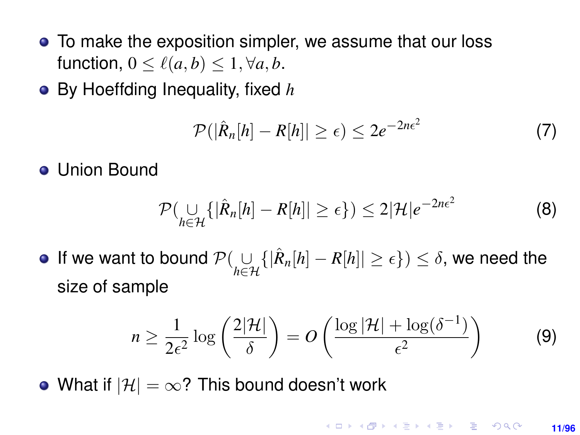- To make the exposition simpler, we assume that our loss function,  $0 \leq \ell(a, b) \leq 1, \forall a, b$ .
- By Hoeffding Inequality, fixed *h*

$$
\mathcal{P}(|\hat{R}_n[h]-R[h]| \geq \epsilon) \leq 2e^{-2n\epsilon^2} \tag{7}
$$

Union Bound

$$
\mathcal{P}(\bigcup_{h\in\mathcal{H}}\{|\hat{R}_n[h]-R[h]|\geq\epsilon\})\leq 2|\mathcal{H}|e^{-2n\epsilon^2}
$$
 (8)

If we want to bound  $\mathcal{P}(\bigcup\limits_{h\in\mathcal{H}}\{|\hat{R}_n[h]-R[h]|\geq \epsilon\})\leq \delta,$  we need the size of sample

$$
n \ge \frac{1}{2\epsilon^2} \log \left( \frac{2|\mathcal{H}|}{\delta} \right) = O \left( \frac{\log |\mathcal{H}| + \log(\delta^{-1})}{\epsilon^2} \right) \tag{9}
$$

• What if  $|\mathcal{H}| = \infty$ ? This bound doesn't work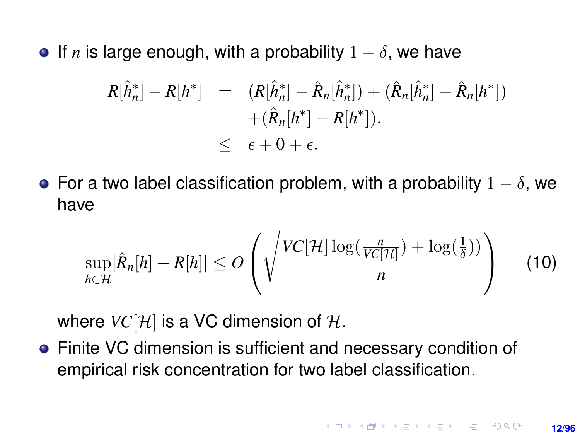• If *n* is large enough, with a probability  $1 - \delta$ , we have

$$
R[\hat{h}_n^*] - R[h^*] = (R[\hat{h}_n^*] - \hat{R}_n[\hat{h}_n^*]) + (\hat{R}_n[\hat{h}_n^*] - \hat{R}_n[h^*]) + (\hat{R}_n[h^*] - R[h^*]). \leq \epsilon + 0 + \epsilon.
$$

• For a two label classification problem, with a probability  $1 - \delta$ , we have

$$
\sup_{h\in\mathcal{H}}|\hat{R}_n[h]-R[h]|\leq O\left(\sqrt{\frac{VC[\mathcal{H}]\log(\frac{n}{VC[\mathcal{H}]})+\log(\frac{1}{\delta}))}{n}}\right)
$$
 (10)

where  $VC[\mathcal{H}]$  is a VC dimension of  $\mathcal{H}$ .

Finite VC dimension is sufficient and necessary condition of empirical risk concentration for two label classification.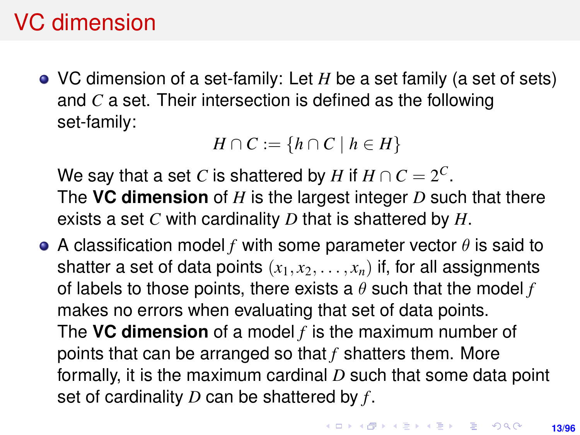## VC dimension

VC dimension of a set-family: Let *H* be a set family (a set of sets) and *C* a set. Their intersection is defined as the following set-family:

$$
H \cap C := \{ h \cap C \mid h \in H \}
$$

We say that a set  $C$  is shattered by  $H$  if  $H \cap C = 2^C.$ 

The **VC dimension** of *H* is the largest integer *D* such that there exists a set *C* with cardinality *D* that is shattered by *H*.

• A classification model *f* with some parameter vector  $\theta$  is said to shatter a set of data points  $(x_1, x_2, \ldots, x_n)$  if, for all assignments of labels to those points, there exists a  $\theta$  such that the model  $f$ makes no errors when evaluating that set of data points. The **VC dimension** of a model *f* is the maximum number of points that can be arranged so that *f* shatters them. More formally, it is the maximum cardinal *D* such that some data point set of cardinality *D* can be shattered by *f* .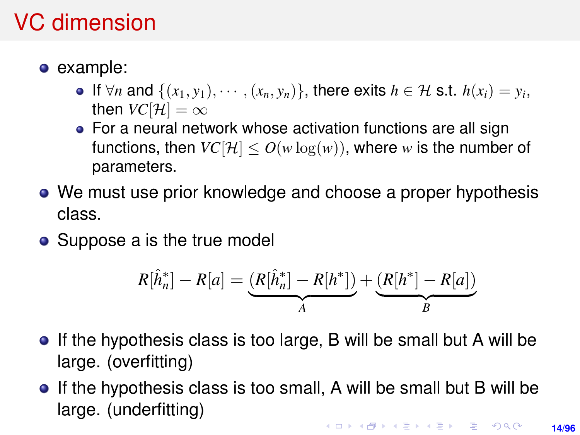## VC dimension

- example:
	- If  $\forall n$  and  $\{(x_1, y_1), \cdots, (x_n, y_n)\}$ , there exits  $h \in \mathcal{H}$  s.t.  $h(x_i) = y_i$ , then  $VC[\mathcal{H}] = \infty$
	- For a neural network whose activation functions are all sign functions, then  $VC[\mathcal{H}] \leq O(w \log(w))$ , where *w* is the number of parameters.
- We must use prior knowledge and choose a proper hypothesis class.
- Suppose a is the true model

$$
R[\hat{h}_n^*] - R[a] = \underbrace{(R[\hat{h}_n^*] - R[h^*])}_{A} + \underbrace{(R[h^*] - R[a])}_{B}
$$

- If the hypothesis class is too large, B will be small but A will be large. (overfitting)
- If the hypothesis class is too small, A will be small but B will be large. (underfitting)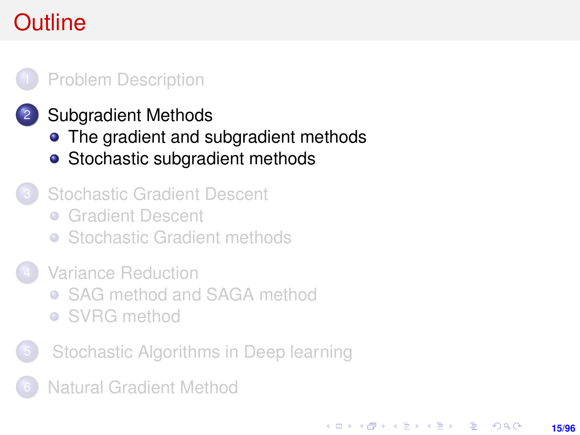# <span id="page-14-0"></span>**Outline**

#### **[Problem Description](#page-5-0)**

### 2 [Subgradient Methods](#page-14-0)

- [The gradient and subgradient methods](#page-15-0)
- [Stochastic subgradient methods](#page-23-0)
- [Stochastic Gradient Descent](#page-48-0)
	- **[Gradient Descent](#page-49-0)**
	- **[Stochastic Gradient methods](#page-57-0)**
- **[Variance Reduction](#page-64-0) • [SAG method and SAGA method](#page-68-0)** • [SVRG method](#page-70-0)
	- 5 [Stochastic Algorithms in Deep learning](#page-79-0)
	- **[Natural Gradient Method](#page-87-0)**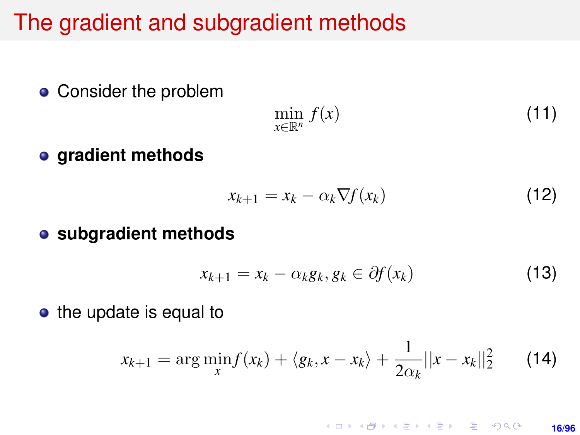## <span id="page-15-0"></span>The gradient and subgradient methods

• Consider the problem

$$
\min_{x \in \mathbb{R}^n} f(x) \tag{11}
$$

**gradient methods**

$$
x_{k+1} = x_k - \alpha_k \nabla f(x_k)
$$
 (12)

**subgradient methods**

$$
x_{k+1} = x_k - \alpha_k g_k, g_k \in \partial f(x_k)
$$
 (13)

 $\bullet$  the update is equal to

$$
x_{k+1} = \arg\min_{x} f(x_k) + \langle g_k, x - x_k \rangle + \frac{1}{2\alpha_k} ||x - x_k||_2^2 \qquad (14)
$$

#### KORK ERKER ERKER **16/96**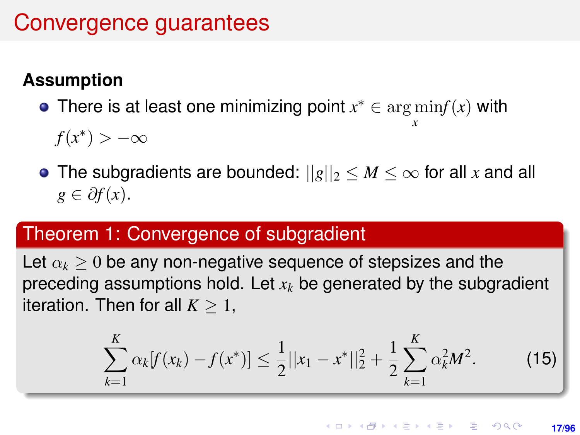## Convergence guarantees

### **Assumption**

#### There is at least one minimizing point  $x^* \in \arg \min f(x)$  with *x*  $f(x^*) > -\infty$

• The subgradients are bounded:  $||g||_2 \leq M \leq \infty$  for all x and all *g* ∈  $\partial f(x)$ .

## Theorem 1: Convergence of subgradient

Let  $\alpha_k$   $>$  0 be any non-negative sequence of stepsizes and the preceding assumptions hold. Let *x<sup>k</sup>* be generated by the subgradient iteration. Then for all  $K \geq 1$ ,

$$
\sum_{k=1}^{K} \alpha_k [f(x_k) - f(x^*)] \le \frac{1}{2} ||x_1 - x^*||_2^2 + \frac{1}{2} \sum_{k=1}^{K} \alpha_k^2 M^2.
$$
 (15)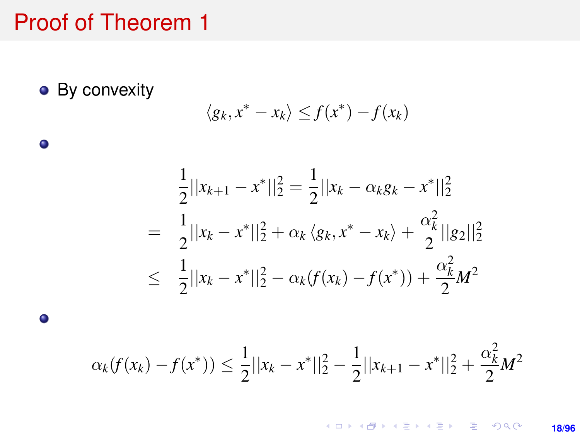## Proof of Theorem 1

• By convexity

 $\bullet$ 

 $\bullet$ 

$$
\langle g_k, x^* - x_k \rangle \leq f(x^*) - f(x_k)
$$

$$
\frac{1}{2}||x_{k+1} - x^*||_2^2 = \frac{1}{2}||x_k - \alpha_k g_k - x^*||_2^2
$$
  
= 
$$
\frac{1}{2}||x_k - x^*||_2^2 + \alpha_k \langle g_k, x^* - x_k \rangle + \frac{\alpha_k^2}{2}||g_2||_2^2
$$
  

$$
\leq \frac{1}{2}||x_k - x^*||_2^2 - \alpha_k(f(x_k) - f(x^*)) + \frac{\alpha_k^2}{2}M^2
$$

$$
\alpha_k(f(x_k) - f(x^*)) \le \frac{1}{2}||x_k - x^*||_2^2 - \frac{1}{2}||x_{k+1} - x^*||_2^2 + \frac{\alpha_k^2}{2}M^2
$$

**18/96**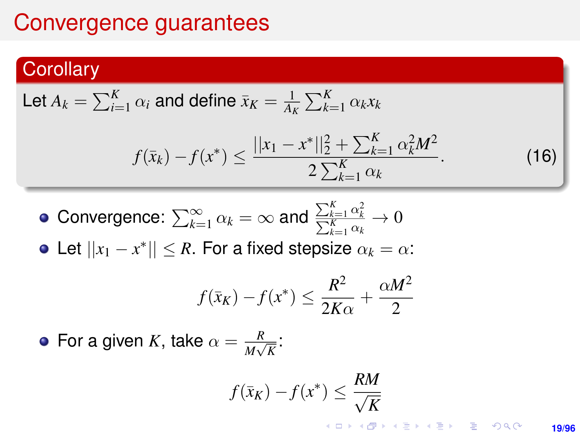## Convergence guarantees

### **Corollary**

Let 
$$
A_k = \sum_{i=1}^K \alpha_i
$$
 and define  $\bar{x}_K = \frac{1}{A_K} \sum_{k=1}^K \alpha_k x_k$   

$$
f(\bar{x}_k) - f(x^*) \le \frac{||x_1 - x^*||_2^2 + \sum_{k=1}^K \alpha_k^2 M^2}{2 \sum_{k=1}^K \alpha_k}.
$$

• Convergence: 
$$
\sum_{k=1}^{\infty} \alpha_k = \infty
$$
 and  $\frac{\sum_{k=1}^{K} \alpha_k^2}{\sum_{k=1}^{K} \alpha_k} \to 0$ 

Let  $||x_1 - x^*|| \leq R$ . For a fixed stepsize  $\alpha_k = \alpha$ :

$$
f(\bar{x}_K) - f(x^*) \le \frac{R^2}{2K\alpha} + \frac{\alpha M^2}{2}
$$

For a given K, take  $\alpha = \frac{R}{M}$  $\frac{R}{M\sqrt{K}}$ :

$$
f(\bar{x}_K) - f(x^*) \le \frac{RM}{\sqrt{K}}
$$

K ロ ▶ K @ ▶ K 할 ▶ K 할 ▶ ... 할 → 9 Q @

**19/96**

 $(16)$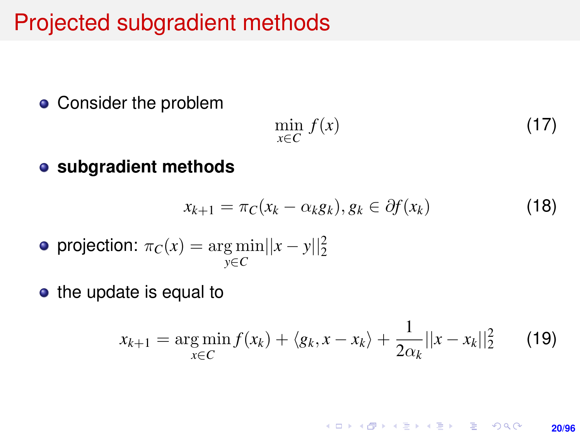## Projected subgradient methods

• Consider the problem

$$
\min_{x \in C} f(x) \tag{17}
$$

**subgradient methods**

$$
x_{k+1} = \pi_C(x_k - \alpha_k g_k), g_k \in \partial f(x_k)
$$
 (18)

- projection:  $\pi_C(x) = \arg \min_{z \in C} ||x y||_2^2$ *y*∈*C*
- $\bullet$  the update is equal to

$$
x_{k+1} = \argmin_{x \in C} f(x_k) + \langle g_k, x - x_k \rangle + \frac{1}{2\alpha_k} ||x - x_k||_2^2 \qquad (19)
$$

**KORKARK A BIK BIKA A GA A GA A GA A BIKA A BIKA A BIKA A BIKA A BIKA A BIKA A BIKA A BIKA A BIKA A BIKA A BIKA 20/96**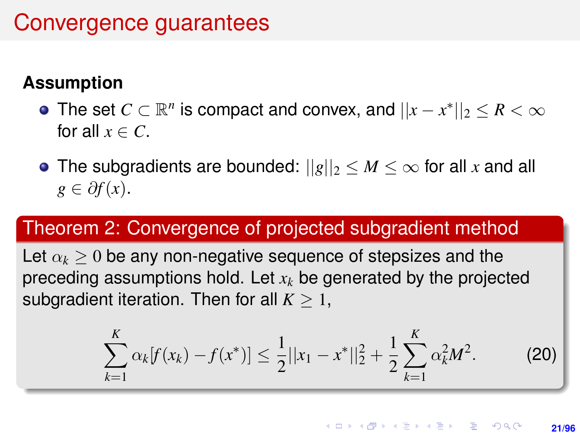## Convergence guarantees

#### **Assumption**

- The set  $C \subset \mathbb{R}^n$  is compact and convex, and  $||x x^*||_2 \leq R < \infty$ for all  $x \in C$ .
- The subgradients are bounded:  $||g||_2 \leq M \leq \infty$  for all x and all *g* ∈  $\partial f(x)$ .

#### Theorem 2: Convergence of projected subgradient method

Let  $\alpha_k \geq 0$  be any non-negative sequence of stepsizes and the preceding assumptions hold. Let *x<sup>k</sup>* be generated by the projected subgradient iteration. Then for all  $K > 1$ ,

$$
\sum_{k=1}^{K} \alpha_k [f(x_k) - f(x^*)] \le \frac{1}{2} ||x_1 - x^*||_2^2 + \frac{1}{2} \sum_{k=1}^{K} \alpha_k^2 M^2.
$$
 (20)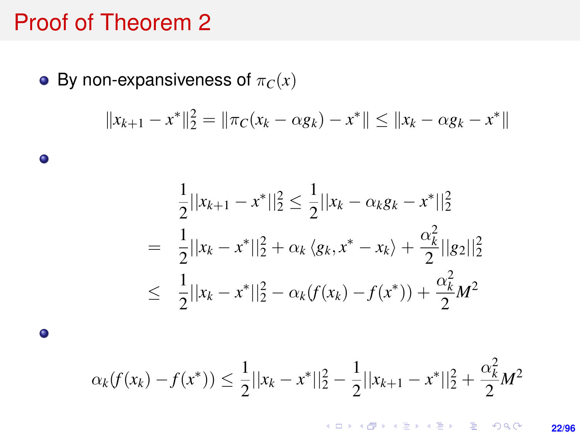## Proof of Theorem 2

 $\bullet$ 

 $\bullet$ 

• By non-expansiveness of  $\pi_C(x)$ 

$$
||x_{k+1} - x^*||_2^2 = ||\pi_C(x_k - \alpha g_k) - x^*|| \le ||x_k - \alpha g_k - x^*||
$$

$$
\frac{1}{2}||x_{k+1} - x^*||_2^2 \le \frac{1}{2}||x_k - \alpha_k g_k - x^*||_2^2
$$
  
= 
$$
\frac{1}{2}||x_k - x^*||_2^2 + \alpha_k \langle g_k, x^* - x_k \rangle + \frac{\alpha_k^2}{2}||g_2||_2^2
$$
  

$$
\le \frac{1}{2}||x_k - x^*||_2^2 - \alpha_k(f(x_k) - f(x^*)) + \frac{\alpha_k^2}{2}M^2
$$

$$
\alpha_k(f(x_k)-f(x^*)) \leq \frac{1}{2}||x_k-x^*||_2^2 - \frac{1}{2}||x_{k+1}-x^*||_2^2 + \frac{\alpha_k^2}{2}M^2
$$

K ロ X (日) X (日) X (日) X (日) X (日) X (日) X (日) X (日) X (日) X (日) X (日) **22/96**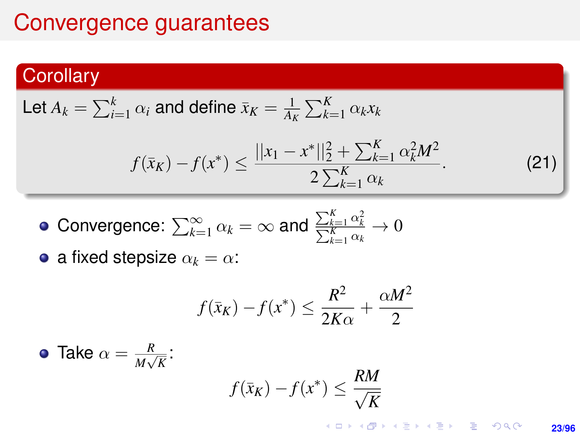## Convergence guarantees

#### **Corollary**

Let 
$$
A_k = \sum_{i=1}^k \alpha_i
$$
 and define  $\bar{x}_K = \frac{1}{A_K} \sum_{k=1}^K \alpha_k x_k$   

$$
f(\bar{x}_K) - f(x^*) \le \frac{||x_1 - x^*||_2^2 + \sum_{k=1}^K \alpha_k^2 M^2}{2 \sum_{k=1}^K \alpha_k}.
$$

• Convergence: 
$$
\sum_{k=1}^{\infty} \alpha_k = \infty
$$
 and  $\frac{\sum_{k=1}^{K} \alpha_k^2}{\sum_{k=1}^{K} \alpha_k} \to 0$ 

• a fixed stepsize 
$$
\alpha_k = \alpha
$$
:

$$
f(\bar{x}_K) - f(x^*) \le \frac{R^2}{2K\alpha} + \frac{\alpha M^2}{2}
$$

Take  $\alpha = \frac{R}{M}$  $\frac{R}{M\sqrt{K}}$ :  $f(\bar{x}_K) - f(x^*) \leq \frac{RM}{\sqrt{m}}$ *K*

**23/96**

K ロ ▶ K @ ▶ K 할 ▶ K 할 ▶ 이 할 → 9 Q @

 $(21)$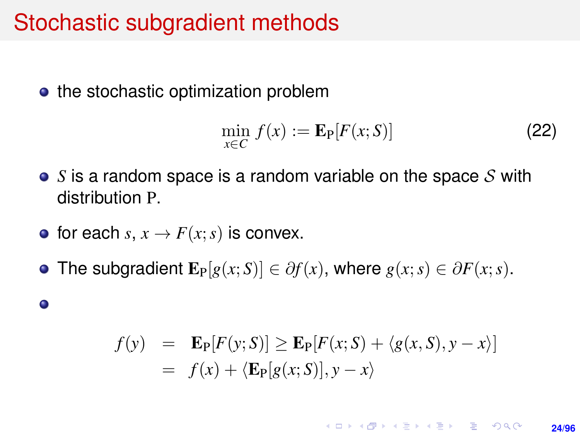## <span id="page-23-0"></span>Stochastic subgradient methods

 $\bullet$  the stochastic optimization problem

$$
\min_{x \in C} f(x) := \mathbf{E}_{\mathbf{P}}[F(x; S)] \tag{22}
$$

- *S* is a random space is a random variable on the space S with distribution P.
- for each  $s, x \rightarrow F(x; s)$  is convex.
- The subgradient  $\mathbf{E}_{P}[g(x;S)] \in \partial f(x)$ , where  $g(x; s) \in \partial F(x; s)$ .

#### $\bullet$

$$
f(y) = \mathbf{E}_{P}[F(y; S)] \ge \mathbf{E}_{P}[F(x; S) + \langle g(x, S), y - x \rangle]
$$
  
=  $f(x) + \langle \mathbf{E}_{P}[g(x; S)], y - x \rangle$ 

#### **KORKARK KERKER DRAM 24/96**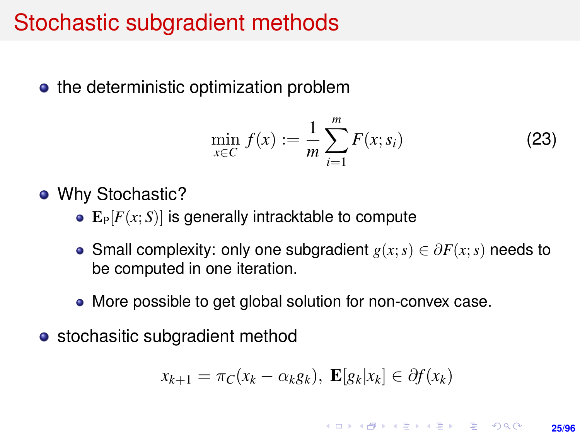## Stochastic subgradient methods

• the deterministic optimization problem

$$
\min_{x \in C} f(x) := \frac{1}{m} \sum_{i=1}^{m} F(x; s_i)
$$
\n(23)

**KORKARK A BIK BIKA A GA A GA A GA A BIKA A BIKA A BIKA A BIKA A BIKA A BIKA A BIKA A BIKA A BIKA A BIKA A BIKA** 

**25/96**

- Why Stochastic?
	- $\bullet$   $\mathbf{E}_{\mathbf{P}}[F(x; S)]$  is generally intracktable to compute
	- Small complexity: only one subgradient  $g(x; s) \in \partial F(x; s)$  needs to be computed in one iteration.
	- More possible to get global solution for non-convex case.
- stochasitic subgradient method

$$
x_{k+1} = \pi_C(x_k - \alpha_k g_k), \ \mathbf{E}[g_k | x_k] \in \partial f(x_k)
$$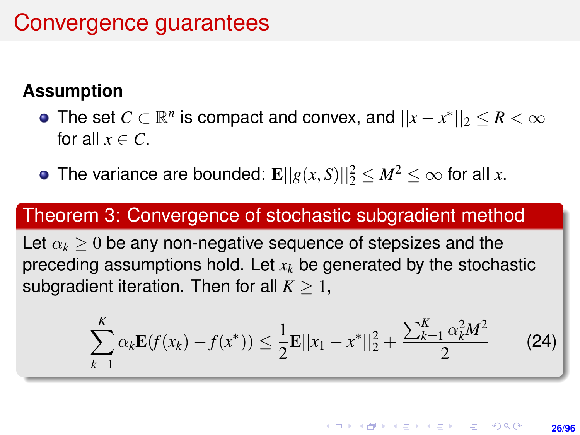## Convergence guarantees

#### **Assumption**

- The set  $C \subset \mathbb{R}^n$  is compact and convex, and  $||x x^*||_2 \leq R < \infty$ for all  $x \in C$ .
- The variance are bounded:  $\mathbf{E}||g(x,S)||_2^2 \leq M^2 \leq \infty$  for all *x*.

#### Theorem 3: Convergence of stochastic subgradient method

Let  $\alpha_k$   $>$  0 be any non-negative sequence of stepsizes and the preceding assumptions hold. Let *x<sup>k</sup>* be generated by the stochastic subgradient iteration. Then for all  $K > 1$ ,

$$
\sum_{k+1}^{K} \alpha_k \mathbf{E}(f(x_k) - f(x^*)) \leq \frac{1}{2} \mathbf{E}||x_1 - x^*||_2^2 + \frac{\sum_{k=1}^{K} \alpha_k^2 M^2}{2}
$$
 (24)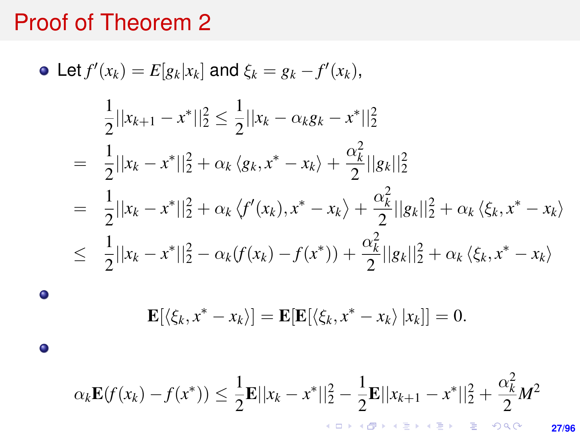## Proof of Theorem 2

 $\bullet$ 

• Let 
$$
f'(x_k) = E[g_k|x_k]
$$
 and  $\xi_k = g_k - f'(x_k)$ ,  
\n
$$
\frac{1}{2}||x_{k+1} - x^*||_2^2 \le \frac{1}{2}||x_k - \alpha_k g_k - x^*||_2^2
$$
\n
$$
= \frac{1}{2}||x_k - x^*||_2^2 + \alpha_k \langle g_k, x^* - x_k \rangle + \frac{\alpha_k^2}{2}||g_k||_2^2
$$
\n
$$
= \frac{1}{2}||x_k - x^*||_2^2 + \alpha_k \langle f'(x_k), x^* - x_k \rangle + \frac{\alpha_k^2}{2}||g_k||_2^2 + \alpha_k \langle \xi_k, x^* - x_k \rangle
$$
\n
$$
\le \frac{1}{2}||x_k - x^*||_2^2 - \alpha_k(f(x_k) - f(x^*)) + \frac{\alpha_k^2}{2}||g_k||_2^2 + \alpha_k \langle \xi_k, x^* - x_k \rangle
$$

$$
\mathbf{E}[\langle \xi_k, x^* - x_k \rangle] = \mathbf{E}[\mathbf{E}[\langle \xi_k, x^* - x_k \rangle | x_k]] = 0.
$$

$$
\alpha_k \mathbf{E}(f(x_k) - f(x^*)) \leq \frac{1}{2} \mathbf{E}||x_k - x^*||_2^2 - \frac{1}{2} \mathbf{E}||x_{k+1} - x^*||_2^2 + \frac{\alpha_k^2}{2}M^2
$$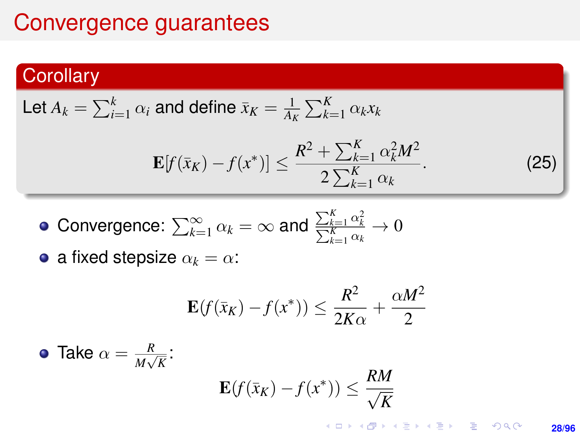## Convergence guarantees

## Corollary

Let 
$$
A_k = \sum_{i=1}^k \alpha_i
$$
 and define  $\bar{x}_K = \frac{1}{A_K} \sum_{k=1}^K \alpha_k x_k$   

$$
\mathbf{E}[f(\bar{x}_K) - f(x^*)] \le \frac{R^2 + \sum_{k=1}^K \alpha_k^2 M^2}{2 \sum_{k=1}^K \alpha_k}.
$$
 (25)

• Convergence: 
$$
\sum_{k=1}^{\infty} \alpha_k = \infty
$$
 and  $\frac{\sum_{k=1}^{K} \alpha_k^2}{\sum_{k=1}^{K} \alpha_k} \to 0$ 

• a fixed stepsize 
$$
\alpha_k = \alpha
$$
:

$$
\mathbf{E}(f(\bar{x}_K) - f(x^*)) \le \frac{R^2}{2K\alpha} + \frac{\alpha M^2}{2}
$$

• Take 
$$
\alpha = \frac{R}{M\sqrt{K}}
$$
:  

$$
\mathbf{E}(f(\bar{x}_K) - f(x^*)) \le \frac{RM}{\sqrt{K}}
$$

**28/96**

KO K K @ K K E K K E K Y K Y K Y K Y R Y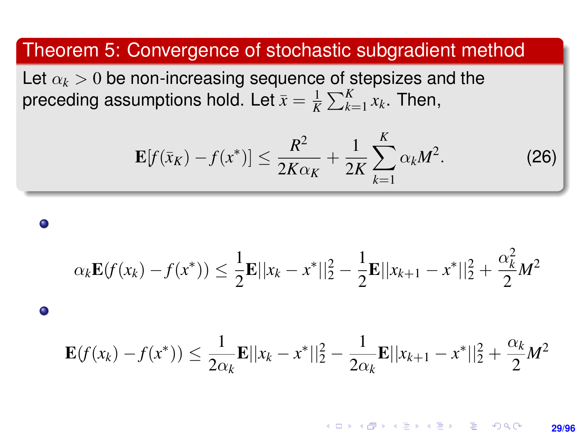Theorem 5: Convergence of stochastic subgradient method

Let  $\alpha_k > 0$  be non-increasing sequence of stepsizes and the preceding assumptions hold. Let  $\bar{x} = \frac{1}{K} \sum_{k=1}^{K} x_k$ . Then,

$$
\mathbf{E}[f(\bar{x}_K) - f(x^*)] \le \frac{R^2}{2K\alpha_K} + \frac{1}{2K} \sum_{k=1}^K \alpha_k M^2.
$$
 (26)

$$
\alpha_k \mathbf{E}(f(x_k) - f(x^*)) \leq \frac{1}{2} \mathbf{E}||x_k - x^*||_2^2 - \frac{1}{2} \mathbf{E}||x_{k+1} - x^*||_2^2 + \frac{\alpha_k^2}{2}M^2
$$

Ο

$$
\mathbf{E}(f(x_k) - f(x^*)) \le \frac{1}{2\alpha_k} \mathbf{E}||x_k - x^*||_2^2 - \frac{1}{2\alpha_k} \mathbf{E}||x_{k+1} - x^*||_2^2 + \frac{\alpha_k}{2}M^2
$$

**KORKARK A BIK BIKA A GA A GA A GA A BIKA A BIKA A BIKA A BIKA A BIKA A BIKA A BIKA A BIKA A BIKA A BIKA A BIKA 29/96**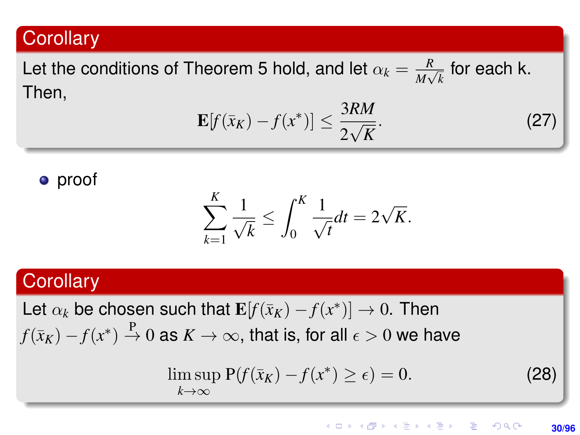#### **Corollary**

Let the conditions of Theorem 5 hold, and let  $\alpha_k = \frac{R}{M_N}$  $\frac{R}{M\sqrt{k}}$  for each k. Then,

$$
\mathbf{E}[f(\bar{x}_K) - f(x^*)] \le \frac{3RM}{2\sqrt{K}}.\tag{27}
$$

• proof

$$
\sum_{k=1}^K \frac{1}{\sqrt{k}} \le \int_0^K \frac{1}{\sqrt{t}} dt = 2\sqrt{K}.
$$

#### **Corollary**

Let  $\alpha_k$  be chosen such that  $\mathbf{E}[f(\bar{x}_K) - f(x^*)] \to 0$ . Then  $f(\bar{x}_K) - f(x^*) \stackrel{\text{P}}{\rightarrow} 0$  as  $K \rightarrow \infty,$  that is, for all  $\epsilon > 0$  we have

$$
\limsup_{k \to \infty} P(f(\bar{x}_K) - f(x^*) \ge \epsilon) = 0.
$$
 (28)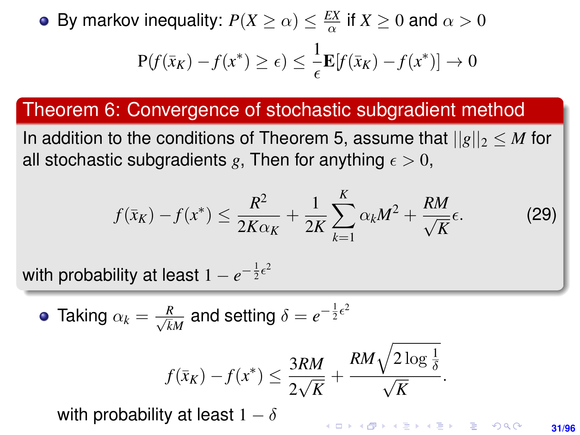\n- By markov inequality: 
$$
P(X \geq \alpha) \leq \frac{EX}{\alpha}
$$
 if  $X \geq 0$  and  $\alpha > 0$  and  $\alpha > 0$  for  $P(f(\bar{x}_K) - f(x^*) \geq \epsilon) \leq \frac{1}{\epsilon} \mathbb{E}[f(\bar{x}_K) - f(x^*)] \to 0$  for  $f(x^*) = \epsilon$  for  $x^*$  for  $x^*$  for  $x^*$  for  $x^*$  for  $x^*$  for  $x^*$  for  $x^*$  for  $x^*$  for  $x^*$  for  $x^*$  for  $x^*$  for  $x^*$  for  $x^*$  for  $x^*$  for  $x^*$  for  $x^*$  for  $x^*$  for  $x^*$  for  $x^*$  for  $x^*$  for  $x^*$  for  $x^*$  for  $x^*$  for  $x^*$  for  $x^*$  for  $x^*$  for  $x^*$  for  $x^*$  for  $x^*$  for  $x^*$  for  $x^*$  for  $x^*$  for  $x^*$  for  $x^*$  for  $x^*$  for  $x^*$  for  $x^*$  for  $x^*$  for  $x^*$  for  $x^*$  for  $x^*$  for  $x^*$  for  $x^*$  for  $x^*$  for  $x^*$  for  $x^*$  for  $x^*$  for  $x^*$  for  $x^*$  for  $x^*$

#### Theorem 6: Convergence of stochastic subgradient method

In addition to the conditions of Theorem 5, assume that  $||g||_2 \leq M$  for all stochastic subgradients  $g$ , Then for anything  $\epsilon > 0$ ,

$$
f(\bar{x}_K) - f(x^*) \le \frac{R^2}{2K\alpha_K} + \frac{1}{2K} \sum_{k=1}^K \alpha_k M^2 + \frac{RM}{\sqrt{K}}\epsilon.
$$
 (29)

with probability at least  $1-e^{-\frac{1}{2}\epsilon^2}$ 

• Taking 
$$
\alpha_k = \frac{R}{\sqrt{k}M}
$$
 and setting  $\delta = e^{-\frac{1}{2}\epsilon^2}$   

$$
f(\bar{x}_K) - f(x^*) \le \frac{3RM}{2\sqrt{K}} + \frac{RM\sqrt{2\log\frac{1}{\delta}}}{\sqrt{K}}.
$$

with probability at least  $1 - \delta$ 

**KORKARK A BIK BIKA A GA A GA A GA A BIKA A BIKA A BIKA A BIKA A BIKA A BIKA A BIKA A BIKA A BIKA A BIKA A BIKA 31/96**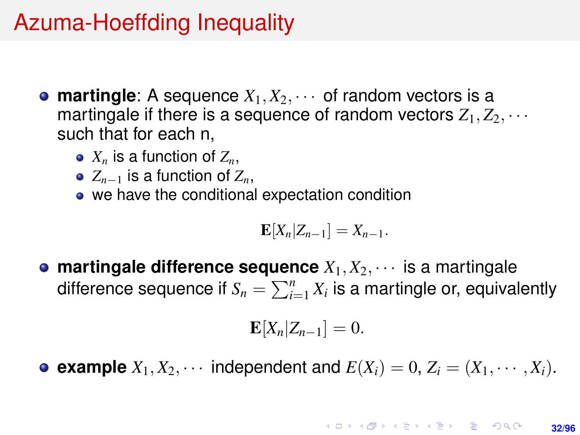## Azuma-Hoeffding Inequality

- **martingle**: A sequence  $X_1, X_2, \cdots$  of random vectors is a martingale if there is a sequence of random vectors  $Z_1, Z_2, \cdots$ such that for each n,
	- $X_n$  is a function of  $Z_n$ ,
	- *Zn*−<sup>1</sup> is a function of *Zn*,
	- we have the conditional expectation condition

$$
\mathbf{E}[X_n|Z_{n-1}]=X_{n-1}.
$$

**• martingale difference sequence**  $X_1, X_2, \cdots$  is a martingale difference sequence if  $S_n = \sum_{i=1}^n X_i$  is a martingle or, equivalently

$$
\mathbf{E}[X_n|Z_{n-1}]=0.
$$

**example**  $X_1, X_2, \cdots$  independent and  $E(X_i) = 0, Z_i = (X_1, \cdots, X_i)$ .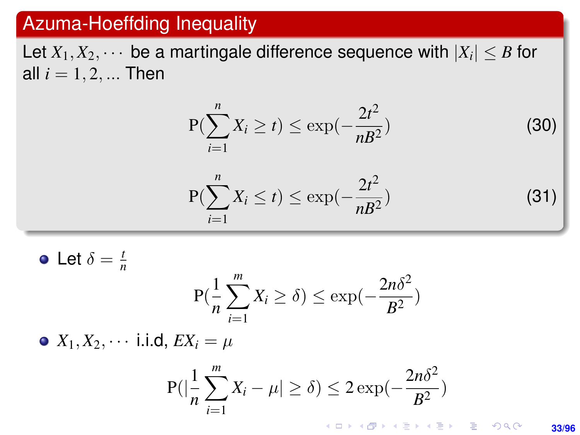#### Azuma-Hoeffding Inequality

Let  $X_1, X_2, \cdots$  be a martingale difference sequence with  $|X_i| \leq B$  for all  $i = 1, 2, ...$  Then

$$
P(\sum_{i=1}^{n} X_i \ge t) \le \exp(-\frac{2t^2}{nB^2})
$$
 (30)

$$
P(\sum_{i=1}^{n} X_i \le t) \le \exp(-\frac{2t^2}{nB^2})
$$
\n(31)

• Let 
$$
\delta = \frac{t}{n}
$$
  

$$
P(\frac{1}{n}\sum_{i=1}^{m} X_i \ge \delta) \le \exp(-\frac{2n\delta^2}{B^2})
$$

 $X_1, X_2, \cdots$  **1.1.0**,  $EX_i = \mu$ 

$$
P(|\frac{1}{n}\sum_{i=1}^{m}X_i-\mu|\geq \delta)\leq 2\exp(-\frac{2n\delta^2}{B^2})
$$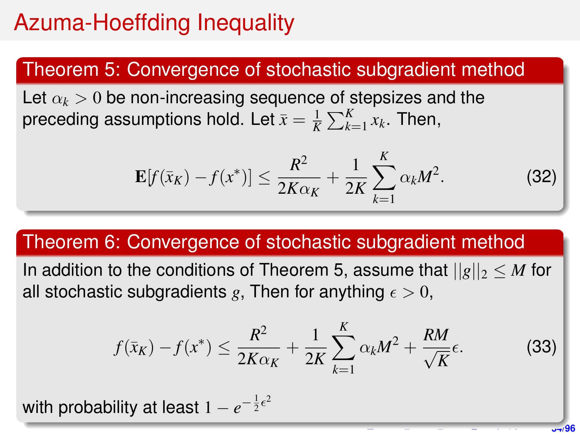## Azuma-Hoeffding Inequality

#### Theorem 5: Convergence of stochastic subgradient method

Let  $\alpha_k > 0$  be non-increasing sequence of stepsizes and the preceding assumptions hold. Let  $\bar{x} = \frac{1}{K} \sum_{k=1}^{K} x_k$ . Then,

$$
\mathbf{E}[f(\bar{x}_K) - f(x^*)] \le \frac{R^2}{2K\alpha_K} + \frac{1}{2K} \sum_{k=1}^K \alpha_k M^2.
$$
 (32)

### Theorem 6: Convergence of stochastic subgradient method

In addition to the conditions of Theorem 5, assume that  $||g||_2 \leq M$  for all stochastic subgradients g, Then for anything  $\epsilon > 0$ ,

$$
f(\bar{x}_K) - f(x^*) \le \frac{R^2}{2K\alpha_K} + \frac{1}{2K} \sum_{k=1}^K \alpha_k M^2 + \frac{RM}{\sqrt{K}} \epsilon.
$$
 (33)

with probability at least  $1-e^{-\frac{1}{2}\epsilon^2}$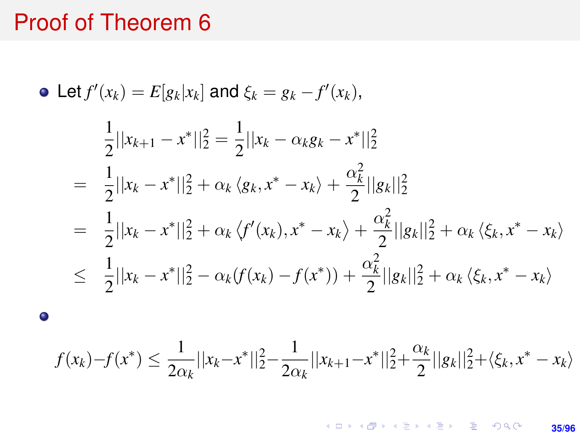## Proof of Theorem 6

 $\bullet$ 

• Let 
$$
f'(x_k) = E[g_k|x_k]
$$
 and  $\xi_k = g_k - f'(x_k)$ ,  
\n
$$
\frac{1}{2}||x_{k+1} - x^*||_2^2 = \frac{1}{2}||x_k - \alpha_k g_k - x^*||_2^2
$$
\n
$$
= \frac{1}{2}||x_k - x^*||_2^2 + \alpha_k \langle g_k, x^* - x_k \rangle + \frac{\alpha_k^2}{2}||g_k||_2^2
$$
\n
$$
= \frac{1}{2}||x_k - x^*||_2^2 + \alpha_k \langle f'(x_k), x^* - x_k \rangle + \frac{\alpha_k^2}{2}||g_k||_2^2 + \alpha_k \langle \xi_k, x^* - x_k \rangle
$$
\n
$$
\leq \frac{1}{2}||x_k - x^*||_2^2 - \alpha_k(f(x_k) - f(x^*)) + \frac{\alpha_k^2}{2}||g_k||_2^2 + \alpha_k \langle \xi_k, x^* - x_k \rangle
$$

$$
f(x_k) - f(x^*) \le \frac{1}{2\alpha_k} ||x_k - x^*||_2^2 - \frac{1}{2\alpha_k} ||x_{k+1} - x^*||_2^2 + \frac{\alpha_k}{2} ||g_k||_2^2 + \langle \xi_k, x^* - x_k \rangle
$$

#### **35/96**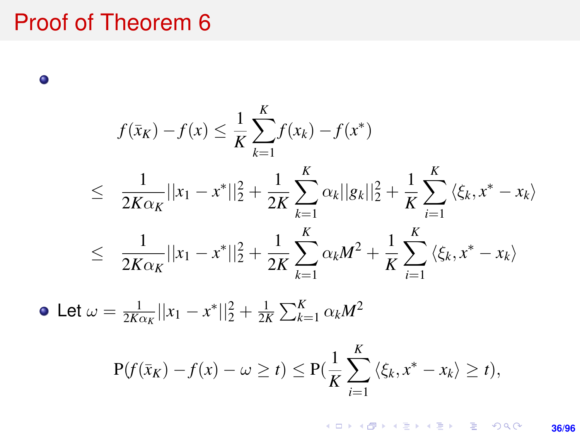## Proof of Theorem 6

 $\bullet$ *K*  $f(\bar{x}_K) - f(x) \leq \frac{1}{K}$  $\sum$  $f(x_k) - f(x^*)$ *K k*=1 *K K*  $\leq \frac{1}{2K}$  $\frac{1}{2K\alpha_K}||x_1 - x^*||_2^2 + \frac{1}{2K}$  $\alpha_k ||g_k||_2^2 + \frac{1}{K}$  $\sum$  $\sum$  $\langle \xi_k, x^* - x_k \rangle$ 2*K K k*=1 *i*=1 *K K*  $\leq \frac{1}{2K}$  $\frac{1}{2K\alpha_K}||x_1 - x^*||_2^2 + \frac{1}{2K}$  $\alpha_k M^2 + \frac{1}{\nu}$  $\sum$  $\sum$  $\langle \xi_k, x^* - x_k \rangle$ 2*K K k*=1 *i*=1 Let  $\omega = \frac{1}{2K\alpha_K}||x_1 - x^*||_2^2 + \frac{1}{2K}\sum_{k=1}^K \alpha_k M^2$ *K*  $P(f(\bar{x}_K) - f(x) - \omega \ge t) \le P(\frac{1}{k})$  $\sum$  $\langle \xi_k, x^* - x_k \rangle \geq t$ , *K i*=1

> KORK ERKER ERKER **36/96**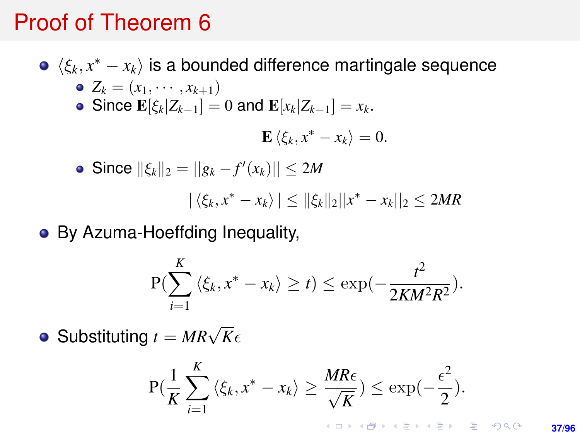## Proof of Theorem 6

- $\langle ξ<sub>k</sub>, x<sup>*</sup> − x<sub>k</sub> \rangle$  is a bounded difference martingale sequence  $\bullet$   $Z_k = (x_1, \cdots, x_{k+1})$  $\bullet$  Since  $\mathbf{E}[\xi_k|Z_{k-1}] = 0$  and  $\mathbf{E}[x_k|Z_{k-1}] = x_k$ .  $\mathbf{E} \langle \xi_k, x^* - x_k \rangle = 0.$  $\textsf{Since } ||\xi_k||_2 = ||g_k - f'(x_k)|| \leq 2M$  $|\langle \xi_k, x^* - x_k \rangle| \leq ||\xi_k||_2 ||x^* - x_k||_2 \leq 2MR$
- By Azuma-Hoeffding Inequality,

$$
P(\sum_{i=1}^K \langle \xi_k, x^* - x_k \rangle \ge t) \le \exp(-\frac{t^2}{2KM^2R^2}).
$$

Substituting  $t = MR\sqrt{K}\epsilon$ 

$$
\mathbf{P}(\frac{1}{K}\sum_{i=1}^{K}\left\langle \xi_k, x^* - x_k \right\rangle \geq \frac{MR\epsilon}{\sqrt{K}}) \leq \exp(-\frac{\epsilon^2}{2}).
$$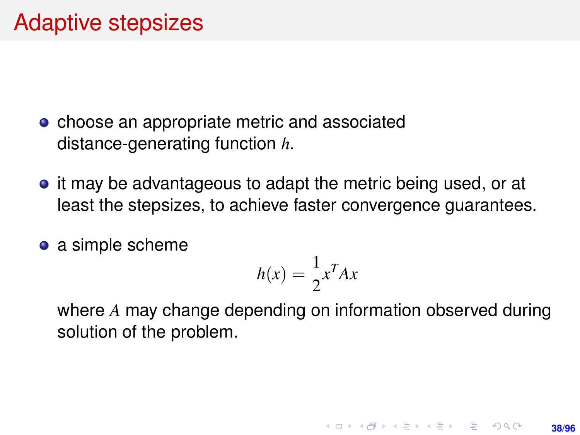- choose an appropriate metric and associated distance-generating function *h*.
- **•** it may be advantageous to adapt the metric being used, or at least the stepsizes, to achieve faster convergence guarantees.
- a simple scheme

$$
h(x) = \frac{1}{2}x^T A x
$$

where *A* may change depending on information observed during solution of the problem.

**KORKARK A BIK BIKA A GA A GA A GA A BIKA A BIKA A BIKA A BIKA A BIKA A BIKA A BIKA A BIKA A BIKA A BIKA A BIKA** 

**38/96**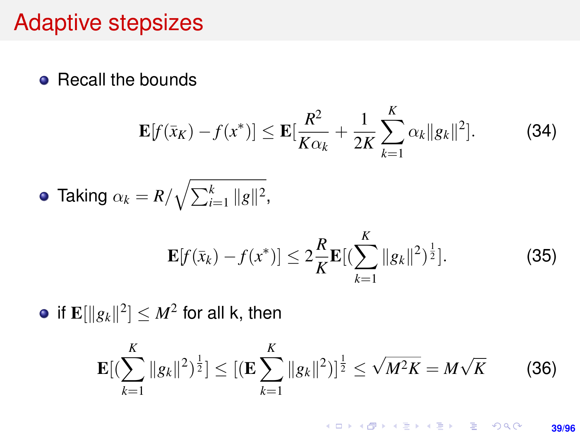#### Adaptive stepsizes

• Recall the bounds

$$
\mathbf{E}[f(\bar{x}_K) - f(x^*)] \le \mathbf{E}[\frac{R^2}{K\alpha_k} + \frac{1}{2K} \sum_{k=1}^K \alpha_k ||g_k||^2].
$$
 (34)

*K*

Taking  $\alpha_k = R/\sqrt{\sum_{i=1}^k \|g\|^2}$  ,

$$
\mathbf{E}[f(\bar{x}_k) - f(x^*)] \le 2\frac{R}{K}\mathbf{E}[ (\sum_{k=1}^K \|g_k\|^2)^{\frac{1}{2}}].
$$
 (35)

if  $\mathbf{E}[\|g_k\|^2]\leq M^2$  for all k, then

$$
\mathbf{E}[(\sum_{k=1}^{K}||g_k||^2)^{\frac{1}{2}}] \leq [(\mathbf{E}\sum_{k=1}^{K}||g_k||^2)]^{\frac{1}{2}} \leq \sqrt{M^2K} = M\sqrt{K}
$$
 (36)

K ロ ▶ K @ ▶ K 할 ▶ K 할 ▶ ... 할 → 9 Q @ **39/96**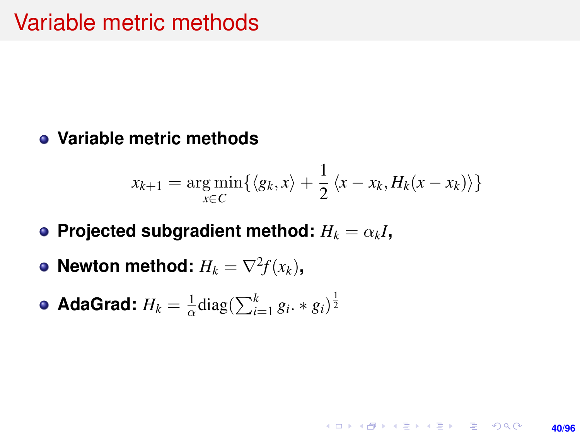$$
x_{k+1} = \underset{x \in C}{\arg \min} \{ \langle g_k, x \rangle + \frac{1}{2} \langle x - x_k, H_k(x - x_k) \rangle \}
$$

**40/96**

K ロ ▶ K @ ▶ K 할 ▶ K 할 ▶ ... 할 → 9 Q @

- **Projected subgradient method:**  $H_k = \alpha_k I$ ,
- **Newton method:**  $H_k = \nabla^2 f(x_k)$ ,

• AdaGrad: 
$$
H_k = \frac{1}{\alpha} \text{diag}(\sum_{i=1}^k g_i \cdot * g_i)^{\frac{1}{2}}
$$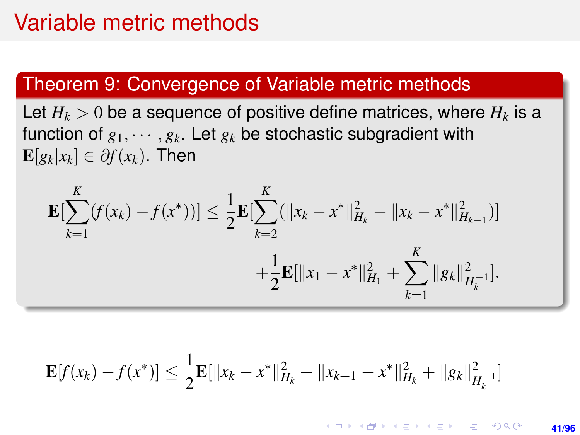#### Theorem 9: Convergence of Variable metric methods

Let  $H_k > 0$  be a sequence of positive define matrices, where  $H_k$  is a function of  $g_1, \dots, g_k$ . Let  $g_k$  be stochastic subgradient with  $\mathbf{E}[g_k|x_k] \in \partial f(x_k)$ . Then

$$
\mathbf{E}[\sum_{k=1}^{K} (f(x_k) - f(x^*))] \leq \frac{1}{2} \mathbf{E}[\sum_{k=2}^{K} (||x_k - x^*||_{H_k}^2 - ||x_k - x^*||_{H_{k-1}}^2)] + \frac{1}{2} \mathbf{E}[\|x_1 - x^*\|_{H_1}^2 + \sum_{k=1}^{K} ||g_k||_{H_k^{-1}}^2].
$$

$$
\mathbf{E}[f(x_k) - f(x^*)] \leq \frac{1}{2} \mathbf{E}[\|x_k - x^*\|_{H_k}^2 - \|x_{k+1} - x^*\|_{H_k}^2 + \|g_k\|_{H_k^{-1}}^2]
$$

**KORKARK A BIK BIKA A GA A GA A GA A BIKA A BIKA A BIKA A BIKA A BIKA A BIKA A BIKA A BIKA A BIKA A BIKA A BIKA 41/96**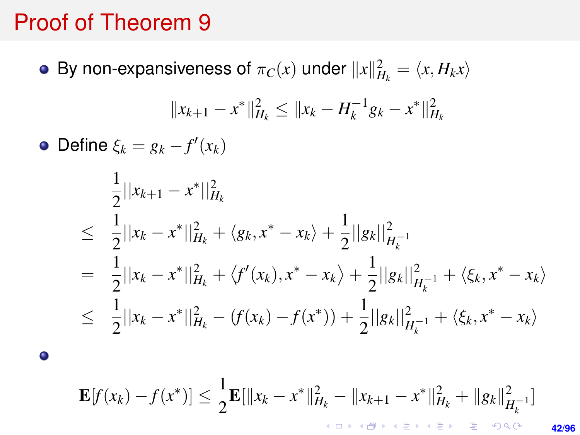### Proof of Theorem 9

 $\bullet$ 

By non-expansiveness of  $\pi_C(x)$  under  $||x||^2_{H_k} = \langle x, H_k x \rangle$ 

$$
||x_{k+1} - x^*||_{H_k}^2 \le ||x_k - H_k^{-1}g_k - x^*||_{H_k}^2
$$

Define  $\xi_k = g_k - f'(x_k)$ 1  $\frac{1}{2}||x_{k+1}-x^*||^2_{H_k}$  $\leq \frac{1}{2}$  $\frac{1}{2}||x_k - x^*||^2_{H_k} + \langle g_k, x^* - x_k \rangle + \frac{1}{2}$  $\frac{1}{2}||g_k||_{H_k^{-1}}^2$  $=\frac{1}{2}$  $\frac{1}{2}||x_k - x^*||^2_{H_k} + \langle f'(x_k), x^* - x_k \rangle + \frac{1}{2}$  $\frac{1}{2}||g_k||^2_{H_k^{-1}} + \langle \xi_k, x^* - x_k \rangle$  $\leq \frac{1}{2}$  $\frac{1}{2}||x_k - x^*||^2_{H_k} - (f(x_k) - f(x^*)) + \frac{1}{2}||g_k||^2_{H_k^{-1}} + \langle \xi_k, x^* - x_k \rangle$ 

$$
\mathbf{E}[f(x_k) - f(x^*)] \leq \frac{1}{2} \mathbf{E}[\|x_k - x^*\|_{H_k}^2 - \|x_{k+1} - x^*\|_{H_k}^2 + \|g_k\|_{H_k^{-1}}^2]
$$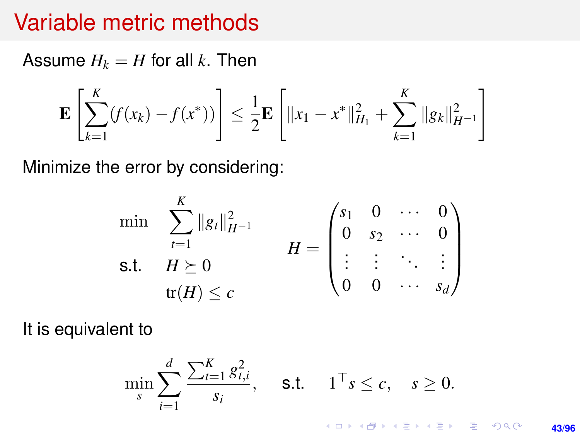Assume  $H_k = H$  for all *k*. Then

$$
\mathbf{E}\left[\sum_{k=1}^K (f(x_k) - f(x^*))\right] \leq \frac{1}{2} \mathbf{E}\left[\|x_1 - x^*\|_{H_1}^2 + \sum_{k=1}^K \|g_k\|_{H^{-1}}^2\right]
$$

Minimize the error by considering:

$$
\min \sum_{t=1}^{K} \|g_t\|_{H^{-1}}^2
$$
\n
$$
\text{s.t.} \quad H \succeq 0
$$
\n
$$
\text{tr}(H) \le c
$$
\n
$$
\text{tr}(H) \le c
$$
\n
$$
\text{tr}(H) \le c
$$
\n
$$
\text{tr}(H) \le c
$$
\n
$$
\text{tr}(H) \le c
$$

It is equivalent to

$$
\min_{s} \sum_{i=1}^{d} \frac{\sum_{t=1}^{K} g_{t,i}^2}{s_i}, \quad \text{s.t.} \quad 1^{\top} s \leq c, \quad s \geq 0.
$$

K ロ ▶ K @ ▶ K 할 ▶ K 할 ▶ 이 할 → 9 Q @ **43/96**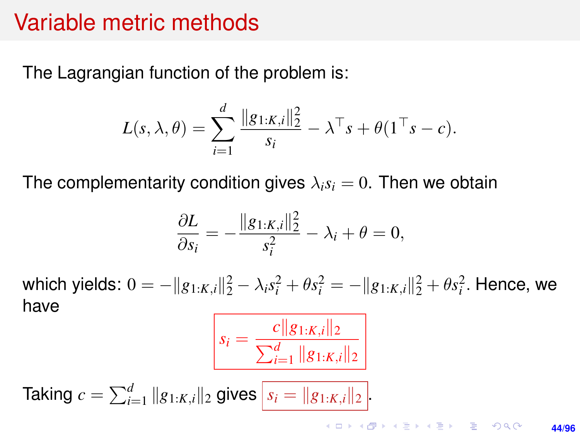The Lagrangian function of the problem is:

$$
L(s, \lambda, \theta) = \sum_{i=1}^d \frac{\|g_{1:K,i}\|_2^2}{s_i} - \lambda^\top s + \theta(\mathbf{1}^\top s - c).
$$

The complementarity condition gives  $\lambda_i s_i = 0$ . Then we obtain

$$
\frac{\partial L}{\partial s_i} = -\frac{\|g_{1:K,i}\|_2^2}{s_i^2} - \lambda_i + \theta = 0,
$$

 $x^2 + 4\lambda^2 + 4\lambda^2 + 4\lambda^2 + 4\lambda^2 + 4\lambda^2 + 4\lambda^2 + 4\lambda^2 + 4\lambda^2 + 4\lambda^2 + 4\lambda^2 + 4\lambda^2 + 4\lambda^2 + 4\lambda^2 + 4\lambda^2 + 4\lambda^2 + 4\lambda^2 + 4\lambda^2 + 4\lambda^2 + 4\lambda^2 + 4\lambda^2 + 4\lambda^2 + 4\lambda^2 + 4\lambda^2 + 4\lambda^2 + 4\lambda^2 + 4\lambda^2 + 4\lambda^2 + 4\lambda^2 + 4\lambda^2 + 4\lambda^2 + 4\lambda^2$ have

$$
s_i = \frac{c||g_{1:K,i}||_2}{\sum_{i=1}^d ||g_{1:K,i}||_2}
$$

Taking  $c = \sum_{i=1}^d ||g_{1:K,i}||_2$  gives  $\boxed{s_i = ||g_{1:K,i}||_2}$ .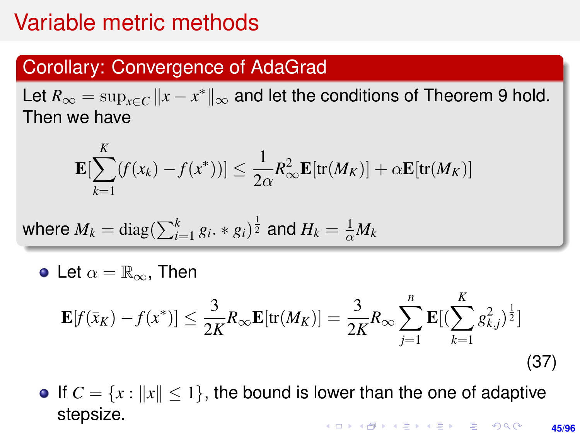#### Corollary: Convergence of AdaGrad

Let  $R_\infty = \sup_{x \in C} \|x - x^*\|_\infty$  and let the conditions of Theorem 9 hold. Then we have

$$
\mathbf{E}[\sum_{k=1}^K (f(x_k) - f(x^*))] \leq \frac{1}{2\alpha} R_{\infty}^2 \mathbf{E}[\text{tr}(M_K)] + \alpha \mathbf{E}[\text{tr}(M_K)]
$$

where 
$$
M_k = \text{diag}(\sum_{i=1}^k g_i \cdot * g_i)^{\frac{1}{2}}
$$
 and  $H_k = \frac{1}{\alpha} M_k$ 

• Let 
$$
\alpha = \mathbb{R}_{\infty}
$$
, Then

$$
\mathbf{E}[f(\bar{x}_K) - f(x^*)] \le \frac{3}{2K} R_{\infty} \mathbf{E}[\text{tr}(M_K)] = \frac{3}{2K} R_{\infty} \sum_{j=1}^n \mathbf{E}[ (\sum_{k=1}^K g_{kj}^2)^{\frac{1}{2}} ]
$$
\n(37)

• If  $C = \{x : ||x|| \le 1\}$ , the bound is lower than the one of adaptive stepsize.**KORKAR KERKER E VOLCH** 

**45/96**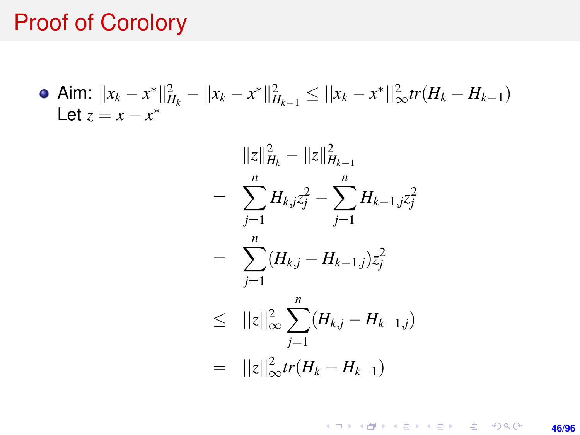## Proof of Corolory

 $\mathbf{A}$ im:  $||x_k - x^*||_{H_k}^2 - ||x_k - x^*||_{H_{k-1}}^2 \le ||x_k - x^*||_{\infty}^2 tr(H_k - H_{k-1})$ Let  $z = x - x^*$  $||z||_{H_k}^2 - ||z||_{H_{k-1}}^2$  $= \sum_{i=1}^{n} H_{k,j} z_j^2 - \sum_{i=1}^{n} H_{k-1,j} z_j^2$ *j*=1 *j*=1  $= \sum_{i=1}^{n} (H_{k,j} - H_{k-1,j})z_j^2$ *j*=1  $\leq$   $||z||_{\infty}^{2} \sum_{k=1}^{n} (H_{k,j} - H_{k-1,j})$ *j*=1  $=$   $||z||_{\infty}^{2}$ *tr*(*H<sub>k</sub>* − *H<sub>k−1</sub>*)

> **KORKARK A BIK BIKA A GA A GA A GA A BIKA A BIKA A BIKA A BIKA A BIKA A BIKA A BIKA A BIKA A BIKA A BIKA A BIKA 46/96**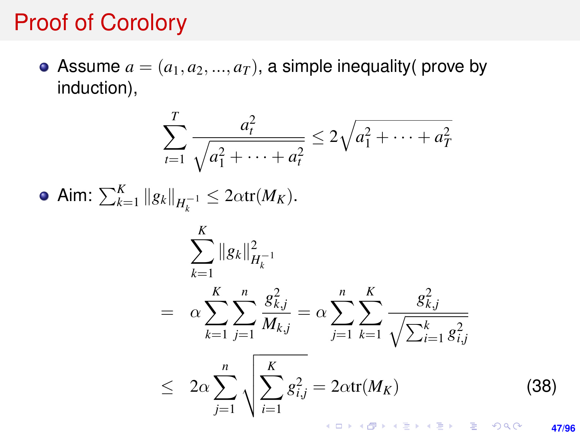# Proof of Corolory

• Assume  $a = (a_1, a_2, ..., a_T)$ , a simple inequality (prove by induction),

$$
\sum_{t=1}^{T} \frac{a_t^2}{\sqrt{a_1^2 + \dots + a_t^2}} \le 2\sqrt{a_1^2 + \dots + a_T^2}
$$

• **Aim:** 
$$
\sum_{k=1}^{K} ||g_k||_{H_k^{-1}} \leq 2\alpha \text{tr}(M_K).
$$

$$
\sum_{k=1}^{K} ||g_k||_{H_k^{-1}}^2
$$
\n
$$
= \alpha \sum_{k=1}^{K} \sum_{j=1}^{n} \frac{g_{k,j}^2}{M_{k,j}} = \alpha \sum_{j=1}^{n} \sum_{k=1}^{K} \frac{g_{k,j}^2}{\sqrt{\sum_{i=1}^{k} g_{i,j}^2}}
$$
\n
$$
\leq 2\alpha \sum_{j=1}^{n} \sqrt{\sum_{i=1}^{K} g_{i,j}^2} = 2\alpha \text{tr}(M_K) \qquad (38)
$$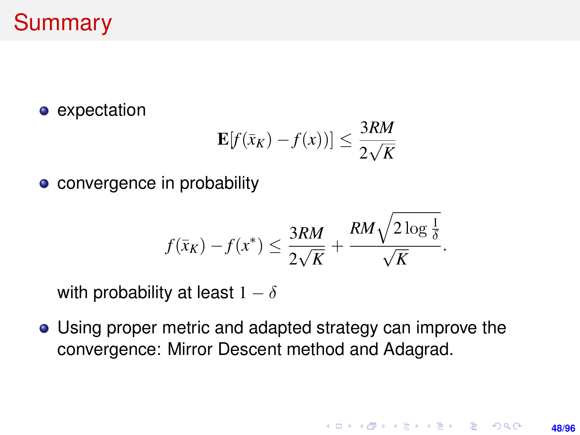# Summary

#### • expectation

$$
\mathbf{E}[f(\bar{x}_K) - f(x))] \le \frac{3RM}{2\sqrt{K}}
$$

• convergence in probability

$$
f(\bar{x}_K) - f(x^*) \leq \frac{3RM}{2\sqrt{K}} + \frac{RM\sqrt{2\log\frac{1}{\delta}}}{\sqrt{K}}.
$$

with probability at least  $1 - \delta$ 

Using proper metric and adapted strategy can improve the convergence: Mirror Descent method and Adagrad.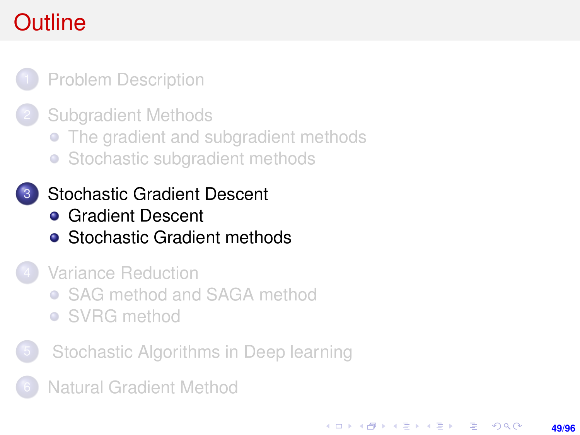# <span id="page-48-0"></span>**Outline**

#### **[Problem Description](#page-5-0)**

#### [Subgradient Methods](#page-14-0)

- [The gradient and subgradient methods](#page-15-0)
- [Stochastic subgradient methods](#page-23-0)
- [Stochastic Gradient Descent](#page-48-0)
	- **[Gradient Descent](#page-49-0)**
	- [Stochastic Gradient methods](#page-57-0)

#### **[Variance Reduction](#page-64-0)**

- **[SAG method and SAGA method](#page-68-0)** • [SVRG method](#page-70-0)
- 5 [Stochastic Algorithms in Deep learning](#page-79-0)
- **[Natural Gradient Method](#page-87-0)**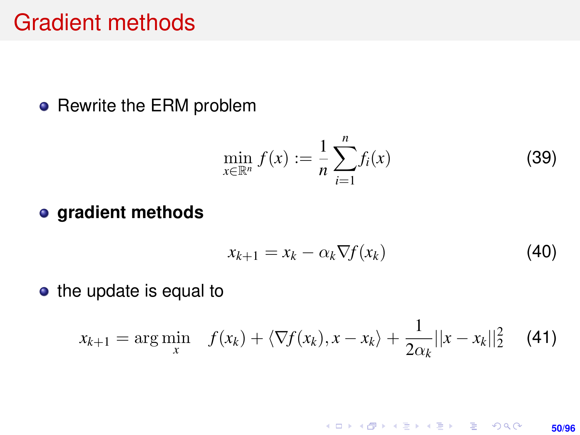#### <span id="page-49-0"></span>Gradient methods

#### • Rewrite the ERM problem

$$
\min_{x \in \mathbb{R}^n} f(x) := \frac{1}{n} \sum_{i=1}^n f_i(x) \tag{39}
$$

**gradient methods**

$$
x_{k+1} = x_k - \alpha_k \nabla f(x_k)
$$
 (40)

1

 $\bullet$  the update is equal to

$$
x_{k+1} = \arg\min_{x} \quad f(x_k) + \langle \nabla f(x_k), x - x_k \rangle + \frac{1}{2\alpha_k} ||x - x_k||_2^2 \quad \text{(41)}
$$

K ロ ▶ K @ ▶ K 할 ▶ K 할 ▶ ... 할 → 9 Q @ **50/96**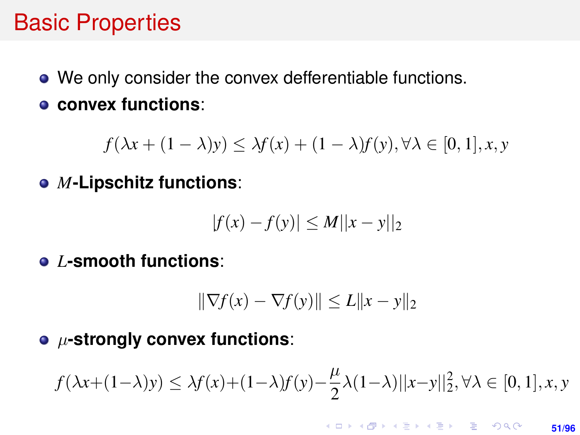# Basic Properties

We only consider the convex defferentiable functions. **convex functions**:

 $f(\lambda x + (1 - \lambda)y) \leq \lambda f(x) + (1 - \lambda)f(y), \forall \lambda \in [0, 1], x, y$ 

*M***-Lipschitz functions**:

$$
|f(x) - f(y)| \le M||x - y||_2
$$

*L***-smooth functions**:

$$
\|\nabla f(x) - \nabla f(y)\| \le L\|x - y\|_2
$$

µ**-strongly convex functions**:

$$
f(\lambda x + (1 - \lambda)y) \le \lambda f(x) + (1 - \lambda)f(y) - \frac{\mu}{2}\lambda(1 - \lambda)||x - y||_2^2, \forall \lambda \in [0, 1], x, y
$$

**51/96**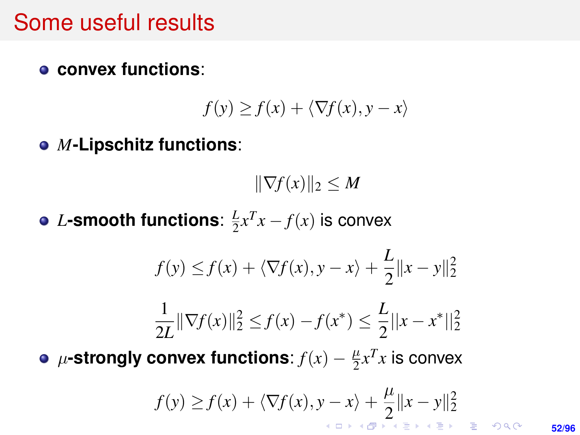## <span id="page-51-0"></span>Some useful results

**convex functions**:

$$
f(y) \ge f(x) + \langle \nabla f(x), y - x \rangle
$$

*M***-Lipschitz functions**:

 $\|\nabla f(x)\|_2$  ≤ *M* 

*L***-smooth functions**: *L*  $\frac{L}{2}x^{T}x - f(x)$  is convex

$$
f(y) \le f(x) + \langle \nabla f(x), y - x \rangle + \frac{L}{2} ||x - y||_2^2
$$

$$
\frac{1}{2L} \|\nabla f(x)\|_2^2 \le f(x) - f(x^*) \le \frac{L}{2} ||x - x^*||_2^2
$$

 $\mu$ -strongly convex functions:  $f(x) - \frac{\mu}{2}$  $\frac{\mu}{2}x^Tx$  is convex

$$
f(y) \ge f(x) + \langle \nabla f(x), y - x \rangle + \frac{\mu}{2} ||x - y||_2^2
$$

**52/96**

つくい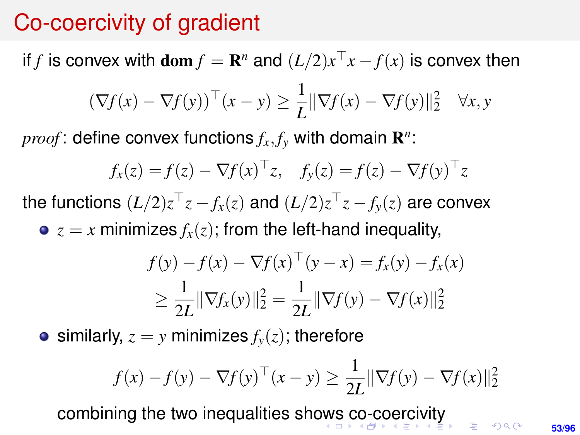## <span id="page-52-0"></span>Co-coercivity of gradient

if  $f$  is convex with  $\mathbf{dom}\, f = \mathbf{R}^n$  and  $(L/2)x^\top x - f(x)$  is convex then

$$
(\nabla f(x) - \nabla f(y))^\top (x - y) \ge \frac{1}{L} \|\nabla f(x) - \nabla f(y)\|_2^2 \quad \forall x, y
$$

 $\mathit{proof}$ : define convex functions  $f_x, f_y$  with domain  $\mathbf{R}^n$ :

$$
f_x(z) = f(z) - \nabla f(x)^\top z
$$
,  $f_y(z) = f(z) - \nabla f(y)^\top z$ 

the functions  $(L/2)z^\top z - f_x(z)$  and  $(L/2)z^\top z - f_y(z)$  are convex

 $\bullet$   $z = x$  minimizes  $f_x(z)$ ; from the left-hand inequality,

$$
f(y) - f(x) - \nabla f(x)^\top (y - x) = f_x(y) - f_x(x)
$$
  
\n
$$
\geq \frac{1}{2L} \|\nabla f_x(y)\|_2^2 = \frac{1}{2L} \|\nabla f(y) - \nabla f(x)\|_2^2
$$

• similarly,  $z = y$  minimizes  $f_y(z)$ ; therefore

$$
f(x) - f(y) - \nabla f(y)^{\top}(x - y) \ge \frac{1}{2L} \|\nabla f(y) - \nabla f(x)\|_2^2
$$

combining the two inequalities sh[ow](#page-51-0)[s c](#page-53-0)[o](#page-51-0)[-c](#page-52-0)[o](#page-53-0)[er](#page-0-0)[ci](#page-95-0)[vit](#page-0-0)[y](#page-95-0)

**53/96**

 $\equiv$  990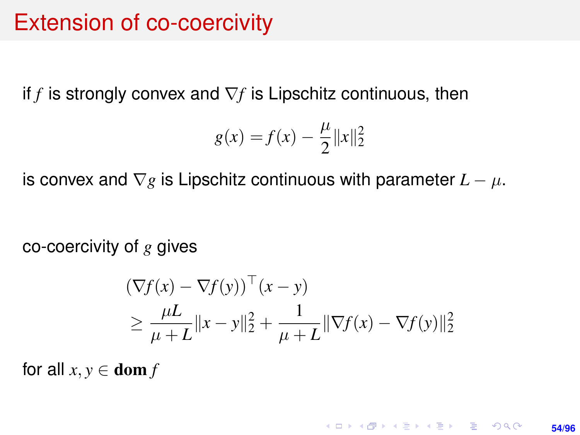#### <span id="page-53-0"></span>Extension of co-coercivity

if  $f$  is strongly convex and  $\nabla f$  is Lipschitz continuous, then

$$
g(x) = f(x) - \frac{\mu}{2} ||x||_2^2
$$

is convex and  $\nabla g$  is Lipschitz continuous with parameter  $L - \mu$ .

co-coercivity of *g* gives

$$
(\nabla f(x) - \nabla f(y))^{\top} (x - y)
$$
  
\n
$$
\geq \frac{\mu L}{\mu + L} ||x - y||_2^2 + \frac{1}{\mu + L} ||\nabla f(x) - \nabla f(y)||_2^2
$$

for all  $x, y \in \textbf{dom } f$ 

KO KARK KEK LE KORA **54/96**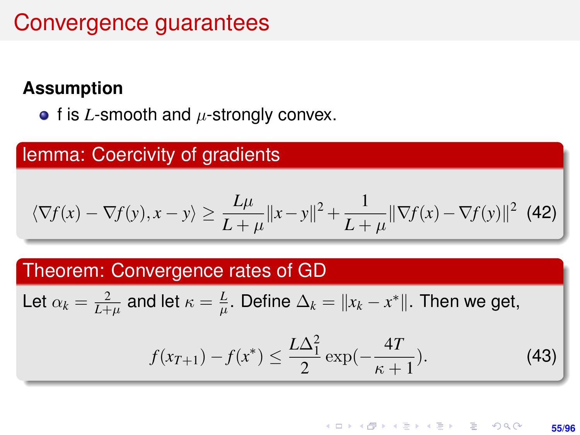## Convergence guarantees

#### **Assumption**

 $\bullet$  f is *L*-smooth and  $\mu$ -strongly convex.

#### lemma: Coercivity of gradients

$$
\langle \nabla f(x) - \nabla f(y), x - y \rangle \ge \frac{L\mu}{L+\mu} \|x - y\|^2 + \frac{1}{L+\mu} \|\nabla f(x) - \nabla f(y)\|^2 \tag{42}
$$

#### Theorem: Convergence rates of GD

Let 
$$
\alpha_k = \frac{2}{L+\mu}
$$
 and let  $\kappa = \frac{L}{\mu}$ . Define  $\Delta_k = ||x_k - x^*||$ . Then we get,  

$$
f(x_{T+1}) - f(x^*) \le \frac{L\Delta_1^2}{2} \exp(-\frac{4T}{\kappa + 1}).
$$
(43)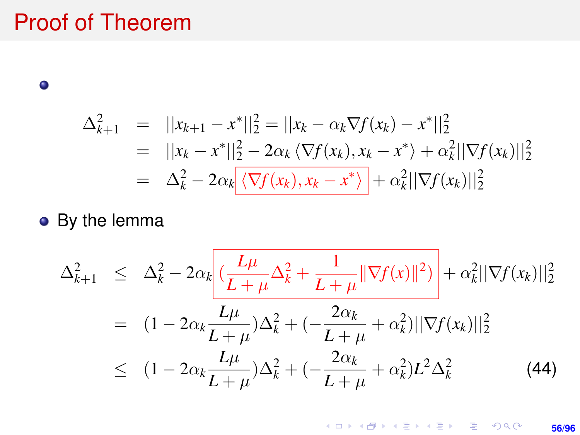#### <span id="page-55-0"></span>Proof of Theorem

 $\bullet$ 

$$
\Delta_{k+1}^2 = ||x_{k+1} - x^*||_2^2 = ||x_k - \alpha_k \nabla f(x_k) - x^*||_2^2
$$
  
\n
$$
= ||x_k - x^*||_2^2 - 2\alpha_k \langle \nabla f(x_k), x_k - x^* \rangle + \alpha_k^2 ||\nabla f(x_k)||_2^2
$$
  
\n
$$
= \Delta_k^2 - 2\alpha_k \langle \nabla f(x_k), x_k - x^* \rangle + \alpha_k^2 ||\nabla f(x_k)||_2^2
$$

• By the lemma

$$
\Delta_{k+1}^2 \leq \Delta_k^2 - 2\alpha_k \left[ \frac{L\mu}{L+\mu} \Delta_k^2 + \frac{1}{L+\mu} \|\nabla f(x)\|^2 \right] + \alpha_k^2 \|\nabla f(x_k)\|^2_2
$$
  
\n
$$
= (1 - 2\alpha_k \frac{L\mu}{L+\mu}) \Delta_k^2 + \left( -\frac{2\alpha_k}{L+\mu} + \alpha_k^2 \right) \|\nabla f(x_k)\|^2_2
$$
  
\n
$$
\leq (1 - 2\alpha_k \frac{L\mu}{L+\mu}) \Delta_k^2 + \left( -\frac{2\alpha_k}{L+\mu} + \alpha_k^2 \right) L^2 \Delta_k^2
$$
 (44)

K ロ X x (個) X x ミ X x ミ X = 3 → 5 × 0 4 0 × **56/96**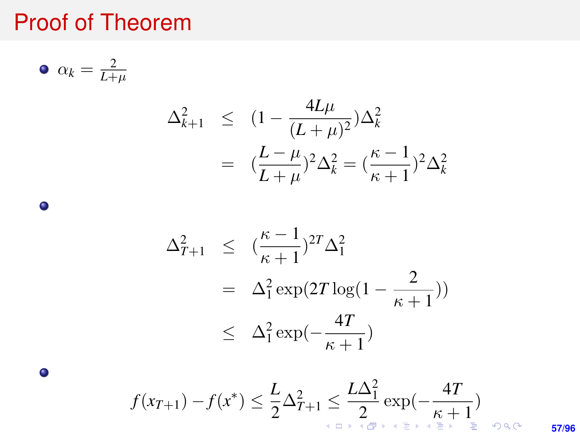## <span id="page-56-0"></span>Proof of Theorem

$$
\bullet \ \alpha_k = \tfrac{2}{L+\mu}
$$

 $\bullet$ 

 $\bullet$ 

$$
\Delta_{k+1}^2 \le (1 - \frac{4L\mu}{(L+\mu)^2})\Delta_k^2
$$
  
=  $(\frac{L-\mu}{L+\mu})^2 \Delta_k^2 = (\frac{\kappa - 1}{\kappa + 1})^2 \Delta_k^2$ 

$$
\Delta_{T+1}^2 \leq \left(\frac{\kappa - 1}{\kappa + 1}\right)^{2T} \Delta_1^2
$$
  
= 
$$
\Delta_1^2 \exp(2T \log(1 - \frac{2}{\kappa + 1}))
$$
  

$$
\leq \Delta_1^2 \exp(-\frac{4T}{\kappa + 1})
$$

$$
f(x_{T+1}) - f(x^*) \leq \frac{L}{2} \Delta_{T+1}^2 \leq \frac{L \Delta_1^2}{2} \exp(-\frac{4T}{\kappa+1})
$$

**57/96**

 $299$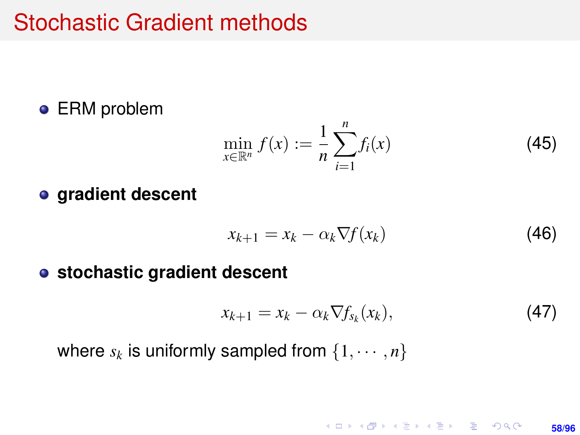## <span id="page-57-0"></span>Stochastic Gradient methods

#### **•** ERM problem

$$
\min_{x \in \mathbb{R}^n} f(x) := \frac{1}{n} \sum_{i=1}^n f_i(x) \tag{45}
$$

**gradient descent**

$$
x_{k+1} = x_k - \alpha_k \nabla f(x_k) \tag{46}
$$

#### **stochastic gradient descent**

$$
x_{k+1} = x_k - \alpha_k \nabla f_{s_k}(x_k), \qquad (47)
$$

where  $s_k$  is uniformly sampled from  $\{1, \dots, n\}$ 

**KORKARK KERKER DRAM 58/96**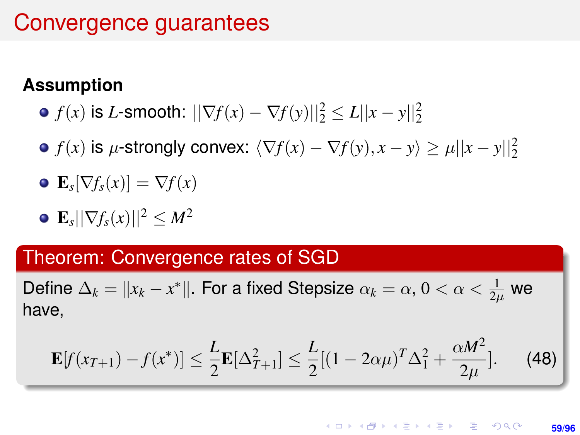## Convergence guarantees

#### **Assumption**

- *f*(*x*) is *L*-smooth:  $||\nabla f(x) \nabla f(y)||_2^2 \le L||x y||_2^2$
- *f*(*x*) is  $\mu$ -strongly convex:  $\langle \nabla f(x) \nabla f(y), x y \rangle \ge \mu ||x y||_2^2$
- $\mathbf{E}_s[\nabla f_s(x)] = \nabla f(x)$
- $\|\mathbf{E}_s\| |\nabla f_s(\mathbf{x})||^2 \leq M^2$

#### Theorem: Convergence rates of SGD

Define  $\Delta_k = \|x_k - x^*\|$ . For a fixed Stepsize  $\alpha_k = \alpha$ ,  $0 < \alpha < \frac{1}{2\mu}$  we have,

$$
\mathbf{E}[f(x_{T+1}) - f(x^*)] \le \frac{L}{2} \mathbf{E}[\Delta_{T+1}^2] \le \frac{L}{2} [(1 - 2\alpha\mu)^T \Delta_1^2 + \frac{\alpha M^2}{2\mu}].
$$
 (48)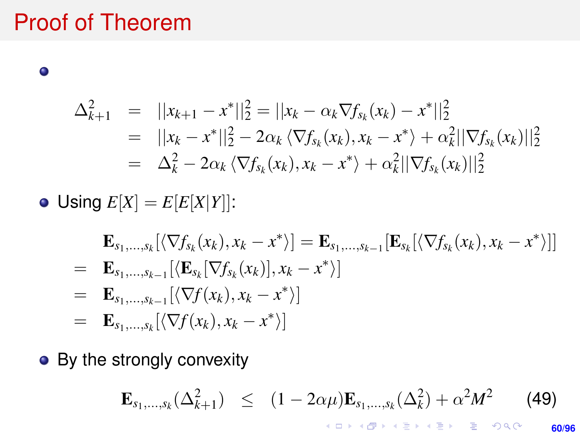## Proof of Theorem

 $\bullet$ 

$$
\Delta_{k+1}^2 = ||x_{k+1} - x^*||_2^2 = ||x_k - \alpha_k \nabla f_{s_k}(x_k) - x^*||_2^2
$$
  
\n
$$
= ||x_k - x^*||_2^2 - 2\alpha_k \langle \nabla f_{s_k}(x_k), x_k - x^* \rangle + \alpha_k^2 ||\nabla f_{s_k}(x_k)||_2^2
$$
  
\n
$$
= \Delta_k^2 - 2\alpha_k \langle \nabla f_{s_k}(x_k), x_k - x^* \rangle + \alpha_k^2 ||\nabla f_{s_k}(x_k)||_2^2
$$

• Using 
$$
E[X] = E[E[X|Y]]
$$
:

$$
\mathbf{E}_{s_1,...,s_k}[\langle \nabla f_{s_k}(x_k), x_k - x^* \rangle] = \mathbf{E}_{s_1,...,s_{k-1}}[\mathbf{E}_{s_k}[\langle \nabla f_{s_k}(x_k), x_k - x^* \rangle]]
$$
\n
$$
= \mathbf{E}_{s_1,...,s_{k-1}}[\langle \mathbf{E}_{s_k}[\nabla f_{s_k}(x_k)], x_k - x^* \rangle]
$$
\n
$$
= \mathbf{E}_{s_1,...,s_{k-1}}[\langle \nabla f(x_k), x_k - x^* \rangle]
$$
\n
$$
= \mathbf{E}_{s_1,...,s_k}[\langle \nabla f(x_k), x_k - x^* \rangle]
$$

• By the strongly convexity

$$
\mathbf{E}_{s_1,\ldots,s_k}(\Delta_{k+1}^2) \leq (1-2\alpha\mu)\mathbf{E}_{s_1,\ldots,s_k}(\Delta_k^2)+\alpha^2M^2 \qquad (49)
$$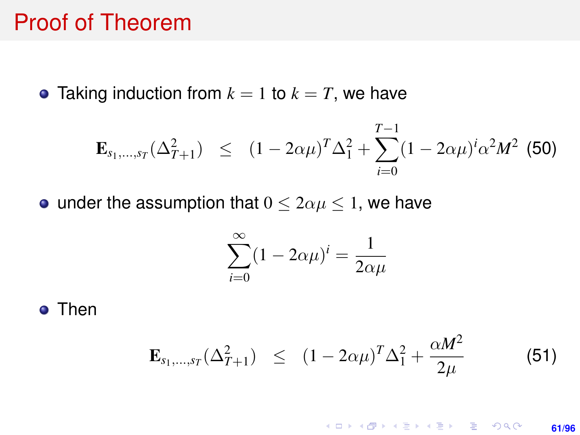#### Proof of Theorem

• Taking induction from  $k = 1$  to  $k = T$ , we have

$$
\mathbf{E}_{s_1,\ldots,s_T}(\Delta_{T+1}^2) \leq (1-2\alpha\mu)^T\Delta_1^2 + \sum_{i=0}^{T-1} (1-2\alpha\mu)^i \alpha^2 M^2
$$
 (50)

• under the assumption that  $0 \leq 2\alpha\mu \leq 1$ , we have

$$
\sum_{i=0}^{\infty} (1 - 2\alpha \mu)^i = \frac{1}{2\alpha\mu}
$$

• Then

$$
\mathbf{E}_{s_1,\ldots,s_T}(\Delta_{T+1}^2) \leq (1-2\alpha\mu)^T \Delta_1^2 + \frac{\alpha M^2}{2\mu} \tag{51}
$$

#### K ロ ▶ K @ ▶ K 할 ▶ K 할 ▶ ... 할 → 9 Q @ **61/96**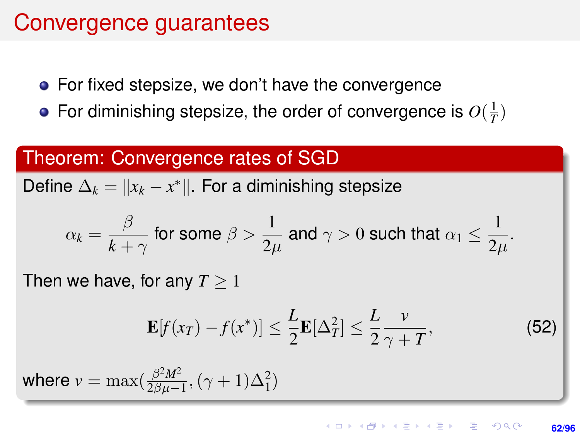#### Convergence guarantees

- For fixed stepsize, we don't have the convergence
- For diminishing stepsize, the order of convergence is  $O(\frac{1}{T})$

#### Theorem: Convergence rates of SGD

Define  $\Delta_k = ||x_k - x^*||$ . For a diminishing stepsize

$$
\alpha_k = \frac{\beta}{k+\gamma} \text{ for some } \beta > \frac{1}{2\mu} \text{ and } \gamma > 0 \text{ such that } \alpha_1 \leq \frac{1}{2\mu}.
$$

Then we have, for any  $T \geq 1$ 

$$
\mathbf{E}[f(x_T) - f(x^*)] \leq \frac{L}{2} \mathbf{E}[\Delta_T^2] \leq \frac{L}{2} \frac{\nu}{\gamma + T},
$$

where  $v = \max(\frac{\beta^2 M^2}{2\beta u - \beta})$  $\frac{\beta^2 M^2}{2\beta\mu-1}, (\gamma+1)\Delta_1^2)$   $(52)$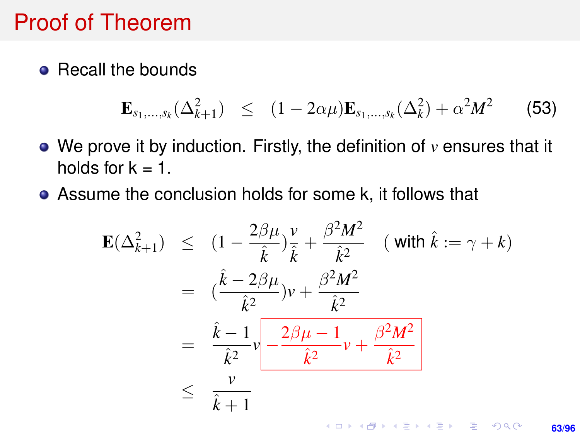## Proof of Theorem

• Recall the bounds

$$
\mathbf{E}_{s_1,...,s_k}(\Delta_{k+1}^2) \leq (1 - 2\alpha\mu)\mathbf{E}_{s_1,...,s_k}(\Delta_k^2) + \alpha^2M^2 \qquad (53)
$$

- We prove it by induction. Firstly, the definition of *v* ensures that it holds for  $k = 1$ .
- Assume the conclusion holds for some k, it follows that

$$
\mathbf{E}(\Delta_{k+1}^2) \leq (1 - \frac{2\beta\mu}{\hat{k}}) \frac{v}{\hat{k}} + \frac{\beta^2 M^2}{\hat{k}^2} \quad (\text{with } \hat{k} := \gamma + k)
$$
  
= 
$$
(\frac{\hat{k} - 2\beta\mu}{\hat{k}^2})v + \frac{\beta^2 M^2}{\hat{k}^2}
$$
  
= 
$$
\frac{\hat{k} - 1}{\hat{k}^2}v \frac{2\beta\mu - 1}{\hat{k}^2}v + \frac{\beta^2 M^2}{\hat{k}^2}
$$
  

$$
\leq \frac{v}{\hat{k} + 1}
$$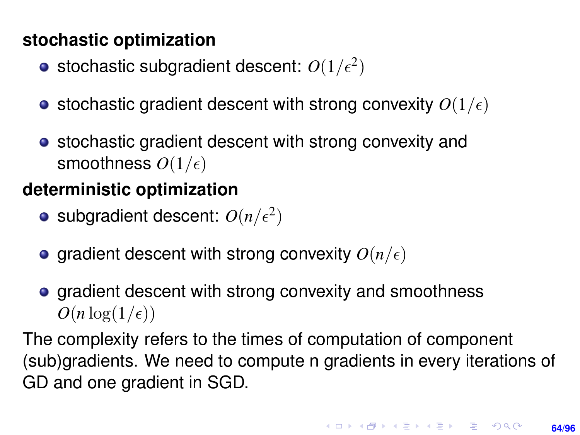#### **stochastic optimization**

- stochastic subgradient descent:  $O(1/\epsilon^2)$
- stochastic gradient descent with strong convexity  $O(1/\epsilon)$
- stochastic gradient descent with strong convexity and smoothness  $O(1/\epsilon)$

#### **deterministic optimization**

- subgradient descent:  $O(n/\epsilon^2)$
- gradient descent with strong convexity  $O(n/\epsilon)$
- gradient descent with strong convexity and smoothness  $O(n \log(1/\epsilon))$

The complexity refers to the times of computation of component (sub)gradients. We need to compute n gradients in every iterations of GD and one gradient in SGD.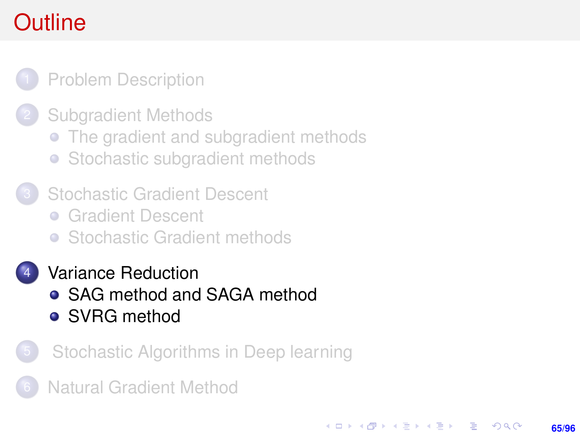# <span id="page-64-0"></span>**Outline**

#### **[Problem Description](#page-5-0)**

#### [Subgradient Methods](#page-14-0)

- [The gradient and subgradient methods](#page-15-0)
- [Stochastic subgradient methods](#page-23-0)
- **[Stochastic Gradient Descent](#page-48-0)** 
	- **[Gradient Descent](#page-49-0)**
	- **[Stochastic Gradient methods](#page-57-0)**
- **[Variance Reduction](#page-64-0)** • [SAG method and SAGA method](#page-68-0) • [SVRG method](#page-70-0)
- 5 [Stochastic Algorithms in Deep learning](#page-79-0)
- **[Natural Gradient Method](#page-87-0)**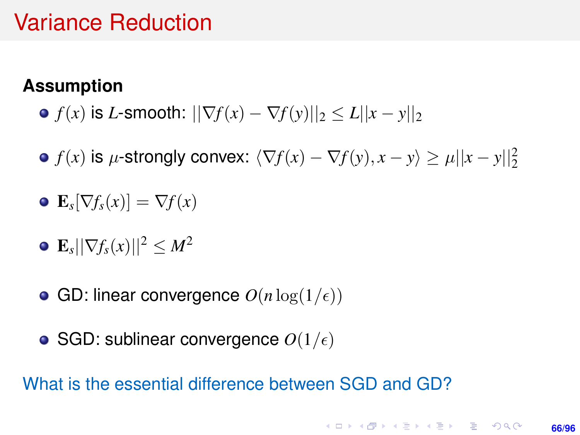# Variance Reduction

#### **Assumption**

- $\bullet$  *f*(*x*) is *L*-smooth:  $||\nabla f(x) \nabla f(y)||_2 \le L||x y||_2$
- *f*(*x*) is  $\mu$ -strongly convex:  $\langle \nabla f(x) \nabla f(y), x y \rangle \ge \mu ||x y||_2^2$
- $\mathbf{E}_s[\nabla f_s(x)] = \nabla f(x)$
- $\mathbf{E}_s ||\nabla f_s(x)||^2 \leq M^2$
- GD: linear convergence  $O(n \log(1/\epsilon))$
- SGD: sublinear convergence  $O(1/\epsilon)$

What is the essential difference between SGD and GD?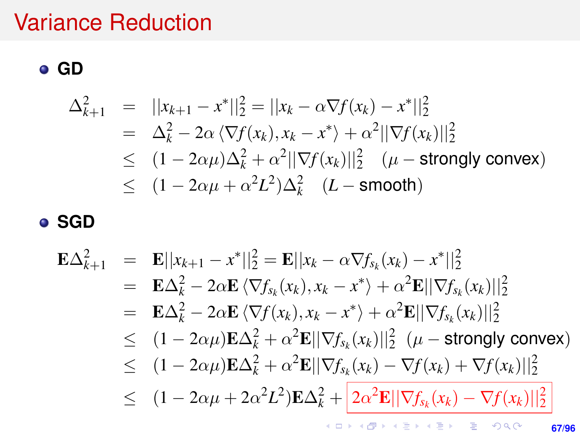# Variance Reduction

**GD**

$$
\Delta_{k+1}^{2} = ||x_{k+1} - x^{*}||_{2}^{2} = ||x_{k} - \alpha \nabla f(x_{k}) - x^{*}||_{2}^{2}
$$
\n
$$
= \Delta_{k}^{2} - 2\alpha \langle \nabla f(x_{k}), x_{k} - x^{*} \rangle + \alpha^{2} ||\nabla f(x_{k})||_{2}^{2}
$$
\n
$$
\leq (1 - 2\alpha \mu) \Delta_{k}^{2} + \alpha^{2} ||\nabla f(x_{k})||_{2}^{2} \quad (\mu - \text{strongly convex})
$$
\n
$$
\leq (1 - 2\alpha \mu + \alpha^{2} L^{2}) \Delta_{k}^{2} \quad (L - \text{smooth})
$$

#### **SGD**

$$
\mathbf{E}\Delta_{k+1}^{2} = \mathbf{E}||x_{k+1} - x^{*}||_{2}^{2} = \mathbf{E}||x_{k} - \alpha\nabla f_{s_{k}}(x_{k}) - x^{*}||_{2}^{2}
$$
\n
$$
= \mathbf{E}\Delta_{k}^{2} - 2\alpha\mathbf{E}\langle\nabla f_{s_{k}}(x_{k}), x_{k} - x^{*}\rangle + \alpha^{2}\mathbf{E}||\nabla f_{s_{k}}(x_{k})||_{2}^{2}
$$
\n
$$
= \mathbf{E}\Delta_{k}^{2} - 2\alpha\mathbf{E}\langle\nabla f(x_{k}), x_{k} - x^{*}\rangle + \alpha^{2}\mathbf{E}||\nabla f_{s_{k}}(x_{k})||_{2}^{2}
$$
\n
$$
\leq (1 - 2\alpha\mu)\mathbf{E}\Delta_{k}^{2} + \alpha^{2}\mathbf{E}||\nabla f_{s_{k}}(x_{k})||_{2}^{2} \ (\mu - \text{strongly convex})
$$
\n
$$
\leq (1 - 2\alpha\mu)\mathbf{E}\Delta_{k}^{2} + \alpha^{2}\mathbf{E}||\nabla f_{s_{k}}(x_{k}) - \nabla f(x_{k}) + \nabla f(x_{k})||_{2}^{2}
$$
\n
$$
\leq (1 - 2\alpha\mu + 2\alpha^{2}L^{2})\mathbf{E}\Delta_{k}^{2} + \frac{2\alpha^{2}\mathbf{E}||\nabla f_{s_{k}}(x_{k}) - \nabla f(x_{k})||_{2}^{2}}{1 - 2\alpha^{2}\mathbf{E}\Delta_{k}^{2} + \frac{2\alpha^{2}\mathbf{E}||\nabla f_{s_{k}}(x_{k}) - \nabla f(x_{k})||_{2}^{2}}
$$
\n
$$
\leq \alpha^{2}\mathbf{E}\Delta_{k}^{2} + \alpha^{2}\mathbf{E}\Delta_{k}^{2} + \alpha^{2}\mathbf{E}\Delta_{k}^{2} + \alpha^{2}\mathbf{E}\Delta_{k}^{2} + \alpha^{2}\mathbf{E}\Delta_{k}^{2} + \alpha^{2}\mathbf{E}\Delta_{k}^{2} + \alpha^{2}\mathbf{E}\Delta_{k}^{2}
$$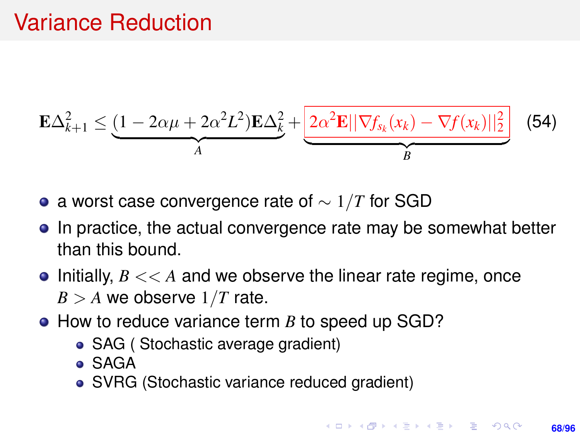# Variance Reduction

$$
\mathbf{E}\Delta_{k+1}^2 \leq \underbrace{(1-2\alpha\mu+2\alpha^2L^2)\mathbf{E}\Delta_k^2}_{A} + \underbrace{2\alpha^2\mathbf{E}||\nabla f_{s_k}(x_k) - \nabla f(x_k)||_2^2}_{B}
$$
 (54)

- a worst case convergence rate of ∼ 1/*T* for SGD
- In practice, the actual convergence rate may be somewhat better than this bound.
- **•** Initially,  $B \ll A$  and we observe the linear rate regime, once  $B > A$  we observe  $1/T$  rate.
- How to reduce variance term *B* to speed up SGD?
	- SAG (Stochastic average gradient)
	- SAGA
	- SVRG (Stochastic variance reduced gradient)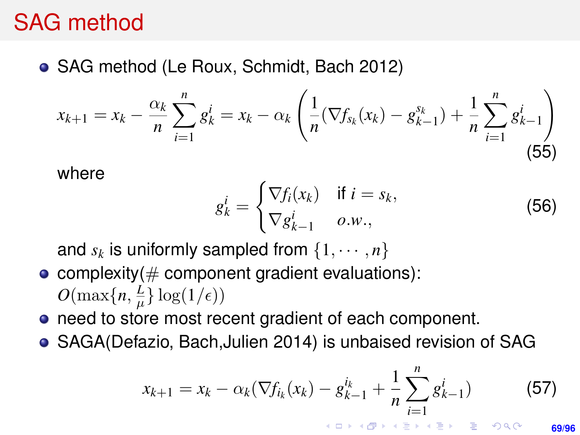## <span id="page-68-0"></span>SAG method

• SAG method (Le Roux, Schmidt, Bach 2012)

$$
x_{k+1} = x_k - \frac{\alpha_k}{n} \sum_{i=1}^n g_k^i = x_k - \alpha_k \left( \frac{1}{n} (\nabla f_{s_k}(x_k) - g_{k-1}^{s_k}) + \frac{1}{n} \sum_{i=1}^n g_{k-1}^i \right)
$$
(55)

where

$$
g_k^i = \begin{cases} \nabla f_i(x_k) & \text{if } i = s_k, \\ \nabla g_{k-1}^i & o.w., \end{cases} \tag{56}
$$

and  $s_k$  is uniformly sampled from  $\{1, \dots, n\}$ 

- complexity( $#$  component gradient evaluations):  $O(\max\{n, \frac{L}{\mu}\})$  $\frac{L}{\mu}$  } log(1/ $\epsilon$ ))
- need to store most recent gradient of each component.
- SAGA(Defazio, Bach,Julien 2014) is unbaised revision of SAG

$$
x_{k+1} = x_k - \alpha_k (\nabla f_{i_k}(x_k) - g_{k-1}^{i_k} + \frac{1}{n} \sum_{i=1}^n g_{k-1}^i)
$$
(57)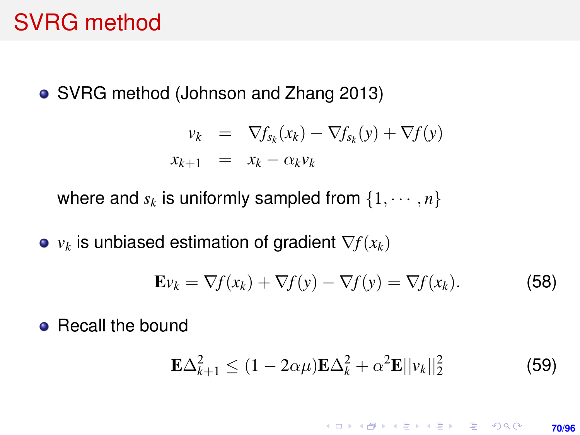## SVRG method

• SVRG method (Johnson and Zhang 2013)

$$
v_k = \nabla f_{s_k}(x_k) - \nabla f_{s_k}(y) + \nabla f(y)
$$
  

$$
x_{k+1} = x_k - \alpha_k v_k
$$

where and  $s_k$  is uniformly sampled from  $\{1, \dots, n\}$ 

•  $v_k$  is unbiased estimation of gradient  $\nabla f(x_k)$ 

$$
\mathbf{E}v_k = \nabla f(x_k) + \nabla f(y) - \nabla f(y) = \nabla f(x_k). \tag{58}
$$

• Recall the bound

$$
\mathbf{E}\Delta_{k+1}^2 \le (1 - 2\alpha\mu)\mathbf{E}\Delta_k^2 + \alpha^2\mathbf{E}||v_k||_2^2 \tag{59}
$$

**KORKARK KERKER DRAM** 

**70/96**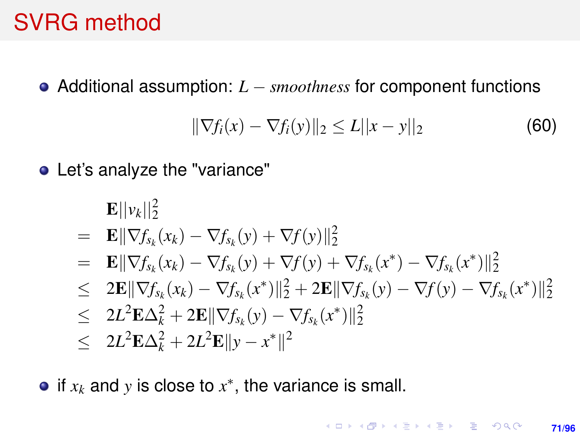## <span id="page-70-0"></span>SVRG method

Additional assumption: *L* − *smoothness* for component functions

$$
\|\nabla f_i(x) - \nabla f_i(y)\|_2 \le L||x - y||_2 \tag{60}
$$

Let's analyze the "variance"

$$
\mathbf{E}||v_k||_2^2
$$
\n
$$
= \mathbf{E}||\nabla f_{s_k}(x_k) - \nabla f_{s_k}(y) + \nabla f(y)||_2^2
$$
\n
$$
= \mathbf{E}||\nabla f_{s_k}(x_k) - \nabla f_{s_k}(y) + \nabla f(y) + \nabla f_{s_k}(x^*) - \nabla f_{s_k}(x^*)||_2^2
$$
\n
$$
\leq 2\mathbf{E}||\nabla f_{s_k}(x_k) - \nabla f_{s_k}(x^*)||_2^2 + 2\mathbf{E}||\nabla f_{s_k}(y) - \nabla f(y) - \nabla f_{s_k}(x^*)||_2^2
$$
\n
$$
\leq 2L^2\mathbf{E}\Delta_k^2 + 2\mathbf{E}||\nabla f_{s_k}(y) - \nabla f_{s_k}(x^*)||_2^2
$$
\n
$$
\leq 2L^2\mathbf{E}\Delta_k^2 + 2L^2\mathbf{E}||y - x^*||^2
$$

if  $x_k$  and  $y$  is close to  $x^*$ , the variance is small.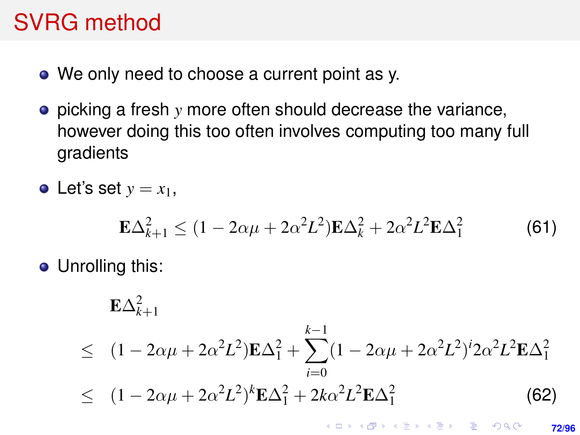# SVRG method

- We only need to choose a current point as y.
- picking a fresh *y* more often should decrease the variance, however doing this too often involves computing too many full gradients
- Let's set  $y = x_1$ ,

$$
\mathbf{E}\Delta_{k+1}^2 \le (1 - 2\alpha\mu + 2\alpha^2 L^2)\mathbf{E}\Delta_k^2 + 2\alpha^2 L^2 \mathbf{E}\Delta_1^2
$$
 (61)

• Unrolling this:

$$
\mathbf{E}\Delta_{k+1}^{2}
$$
\n
$$
\leq (1 - 2\alpha\mu + 2\alpha^{2}L^{2})\mathbf{E}\Delta_{1}^{2} + \sum_{i=0}^{k-1} (1 - 2\alpha\mu + 2\alpha^{2}L^{2})^{i}2\alpha^{2}L^{2}\mathbf{E}\Delta_{1}^{2}
$$
\n
$$
\leq (1 - 2\alpha\mu + 2\alpha^{2}L^{2})^{k}\mathbf{E}\Delta_{1}^{2} + 2k\alpha^{2}L^{2}\mathbf{E}\Delta_{1}^{2}
$$
\n(62)

**KORKARK A BIK BIKA A GA A GA A GA A BIKA A BIKA A BIKA A BIKA A BIKA A BIKA A BIKA A BIKA A BIKA A BIKA A BIKA 72/96**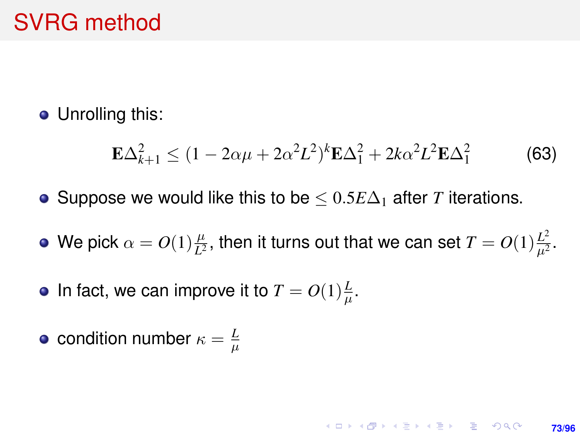• Unrolling this:

$$
\mathbf{E}\Delta_{k+1}^2 \le (1 - 2\alpha\mu + 2\alpha^2 L^2)^k \mathbf{E}\Delta_1^2 + 2k\alpha^2 L^2 \mathbf{E}\Delta_1^2 \tag{63}
$$

**73/96**

KO KKØKKEKKEK E KORO

 $\bullet$  Suppose we would like this to be  $\leq 0.5E\Delta_1$  after *T* iterations.

We pick  $\alpha = O(1) \frac{\mu}{L^2}$  $\frac{\mu}{L^2}$ , then it turns out that we can set  $T = O(1) \frac{L^2}{\mu^2}$  $\frac{L^2}{\mu^2}$ .

- In fact, we can improve it to  $T = O(1)\frac{L}{\mu}$  $\frac{L}{\mu}$  .
- condition number  $\kappa = \frac{L}{\mu}$  $\mu$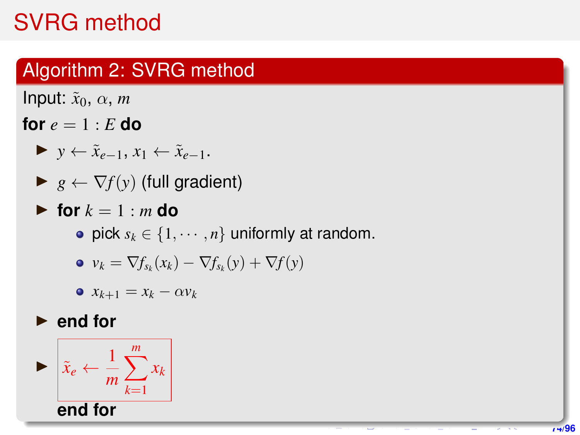# SVRG method

### Algorithm 2: SVRG method

Input:  $\tilde{x}_0$ ,  $\alpha$ , *m* 

**for**  $e = 1 : E$  **do** 

$$
\blacktriangleright y \leftarrow \tilde{x}_{e-1}, x_1 \leftarrow \tilde{x}_{e-1}.
$$

- $\blacktriangleright$  *g*  $\leftarrow \nabla f(y)$  (full gradient)
- $\blacktriangleright$  for  $k = 1$  : *m* do
	- pick  $s_k \in \{1, \dots, n\}$  uniformly at random.

$$
\bullet \ \ v_k = \nabla f_{s_k}(x_k) - \nabla f_{s_k}(y) + \nabla f(y)
$$

$$
\bullet \ \ x_{k+1} = x_k - \alpha v_k
$$

#### **Example 1**

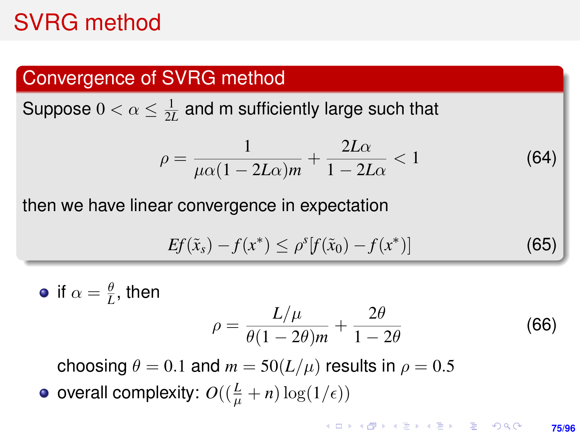## SVRG method

#### Convergence of SVRG method

Suppose  $0 < \alpha \leq \frac{1}{2L}$  and m sufficiently large such that

$$
\rho = \frac{1}{\mu \alpha (1 - 2L\alpha)m} + \frac{2L\alpha}{1 - 2L\alpha} < 1 \tag{64}
$$

then we have linear convergence in expectation

$$
Ef(\tilde{x}_s) - f(x^*) \le \rho^s [f(\tilde{x}_0) - f(x^*)]
$$
\n(65)

• if 
$$
\alpha = \frac{\theta}{L}
$$
, then  

$$
\rho = \frac{L/\mu}{\theta(1 - 2\theta)m} + \frac{2\theta}{1 - 2\theta}
$$
(66)

choosing  $\theta = 0.1$  and  $m = 50(L/\mu)$  results in  $\rho = 0.5$ 

overall complexity:  $O((\frac{L}{\mu}+n)\log(1/\epsilon))$ 

**KORKARK A BIK BIKA A GA A GA A GA A BIKA A BIKA A BIKA A BIKA A BIKA A BIKA A BIKA A BIKA A BIKA A BIKA A BIKA 75/96**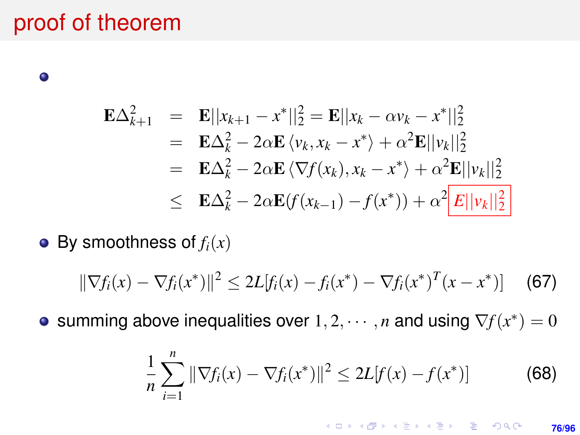## proof of theorem

 $\bullet$ 

 $\mathbf{E}\Delta_{k+1}^2 = \mathbf{E}||x_{k+1} - x^*||_2^2 = \mathbf{E}||x_k - \alpha v_k - x^*||_2^2$  $=$  **E** $\Delta_k^2 - 2\alpha$ **E** $\langle v_k, x_k - x^* \rangle + \alpha^2$ **E** $||v_k||_2^2$  $= \mathbf{E}\Delta_k^2 - 2\alpha \mathbf{E} \langle \nabla f(x_k), x_k - x^* \rangle + \alpha^2 \mathbf{E} ||v_k||_2^2$  $\leq$  **E** $\Delta_k^2 - 2\alpha \mathbf{E}(f(x_{k-1}) - f(x^*)) + \alpha^2 |E||v_k||_2^2$ 

 $\bullet$  By smoothness of  $f_i(x)$ 

$$
\|\nabla f_i(x) - \nabla f_i(x^*)\|^2 \le 2L[f_i(x) - f_i(x^*) - \nabla f_i(x^*)^T(x - x^*)] \quad (67)
$$

summing above inequalities over  $1, 2, \cdots, n$  and using  $\nabla f(x^*) = 0$ 

$$
\frac{1}{n}\sum_{i=1}^{n} \|\nabla f_i(x) - \nabla f_i(x^*)\|^2 \le 2L[f(x) - f(x^*)]
$$
 (68)

KORK ERKER ERKER **76/96**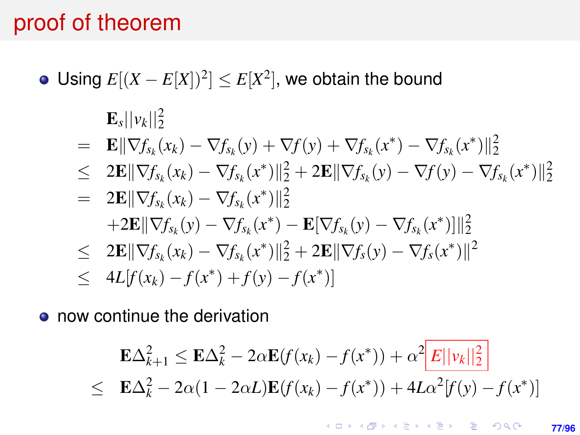## proof of theorem

Using  $E[(X - E[X])^2] \le E[X^2]$ , we obtain the bound

$$
\mathbf{E}_{s}||v_{k}||_{2}^{2}
$$
\n=  $\mathbf{E}||\nabla f_{s_{k}}(x_{k}) - \nabla f_{s_{k}}(y) + \nabla f(y) + \nabla f_{s_{k}}(x^{*}) - \nabla f_{s_{k}}(x^{*})||_{2}^{2}$   
\n $\leq 2\mathbf{E}||\nabla f_{s_{k}}(x_{k}) - \nabla f_{s_{k}}(x^{*})||_{2}^{2} + 2\mathbf{E}||\nabla f_{s_{k}}(y) - \nabla f(y) - \nabla f_{s_{k}}(x^{*})||_{2}^{2}$   
\n=  $2\mathbf{E}||\nabla f_{s_{k}}(x_{k}) - \nabla f_{s_{k}}(x^{*})||_{2}^{2}$   
\n+  $2\mathbf{E}||\nabla f_{s_{k}}(y) - \nabla f_{s_{k}}(x^{*}) - \mathbf{E}[\nabla f_{s_{k}}(y) - \nabla f_{s_{k}}(x^{*})]||_{2}^{2}$   
\n $\leq 2\mathbf{E}||\nabla f_{s_{k}}(x_{k}) - \nabla f_{s_{k}}(x^{*})||_{2}^{2} + 2\mathbf{E}||\nabla f_{s}(y) - \nabla f_{s}(x^{*})||^{2}$   
\n $\leq 4L[f(x_{k}) - f(x^{*}) + f(y) - f(x^{*})]$ 

• now continue the derivation

$$
\mathbf{E}\Delta_{k+1}^2 \le \mathbf{E}\Delta_k^2 - 2\alpha \mathbf{E}(f(x_k) - f(x^*)) + \alpha^2 \frac{E||v_k||_2^2}{E||v_k||_2^2}
$$
  
 
$$
\le \mathbf{E}\Delta_k^2 - 2\alpha(1 - 2\alpha L)\mathbf{E}(f(x_k) - f(x^*)) + 4L\alpha^2[f(y) - f(x^*)]
$$

K ロ ▶ K @ ▶ K 할 ▶ K 할 ▶ ... 할 → 9 Q @ **77/96**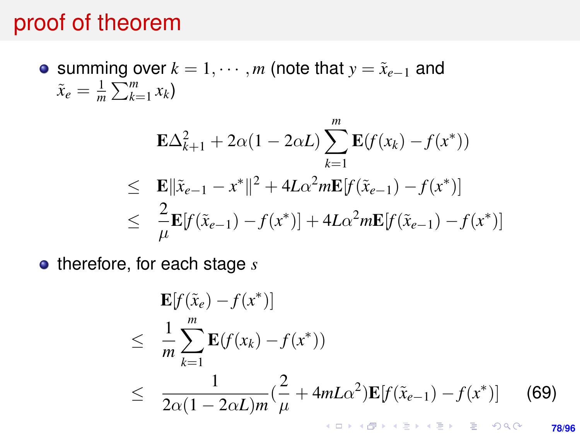## proof of theorem

• summing over  $k = 1, \dots, m$  (note that  $y = \tilde{x}_{e-1}$  and  $\tilde{x}_e = \frac{1}{m} \sum_{k=1}^m x_k$ 

$$
\mathbf{E}\Delta_{k+1}^{2} + 2\alpha(1 - 2\alpha L) \sum_{k=1}^{m} \mathbf{E}(f(x_{k}) - f(x^{*}))
$$
\n
$$
\leq \mathbf{E} ||\tilde{x}_{e-1} - x^{*}||^{2} + 4L\alpha^{2}m\mathbf{E}[f(\tilde{x}_{e-1}) - f(x^{*})]
$$
\n
$$
\leq \frac{2}{\mu} \mathbf{E}[f(\tilde{x}_{e-1}) - f(x^{*})] + 4L\alpha^{2}m\mathbf{E}[f(\tilde{x}_{e-1}) - f(x^{*})]
$$

• therefore, for each stage *s* 

$$
\mathbf{E}[f(\tilde{x}_e) - f(x^*)]
$$
\n
$$
\leq \frac{1}{m} \sum_{k=1}^{m} \mathbf{E}(f(x_k) - f(x^*))
$$
\n
$$
\leq \frac{1}{2\alpha(1 - 2\alpha L)m} (\frac{2}{\mu} + 4mL\alpha^2) \mathbf{E}[f(\tilde{x}_{e-1}) - f(x^*)] \qquad (69)
$$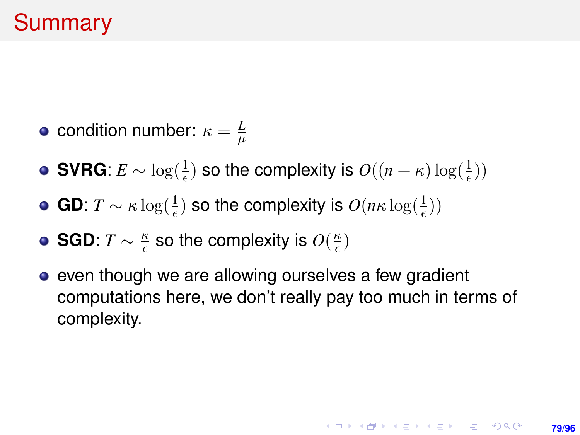- condition number:  $\kappa = \frac{L}{\mu}$  $\mu$
- **SVRG**:  $E \sim \log(\frac{1}{\epsilon})$  so the complexity is  $O((n + \kappa) \log(\frac{1}{\epsilon}))$
- **GD**:  $T \sim \kappa \log(\frac{1}{\epsilon})$  so the complexity is  $O(n\kappa \log(\frac{1}{\epsilon}))$
- **SGD**:  $T \sim \frac{\kappa}{\epsilon}$  $\frac{\kappa}{\epsilon}$  so the complexity is  $O(\frac{\kappa}{\epsilon})$  $\frac{\kappa}{\epsilon})$
- even though we are allowing ourselves a few gradient computations here, we don't really pay too much in terms of complexity.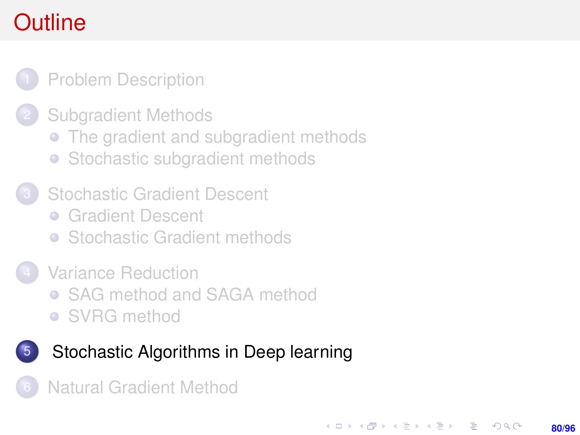# <span id="page-79-0"></span>**Outline**

#### **[Problem Description](#page-5-0)**

#### [Subgradient Methods](#page-14-0)

- [The gradient and subgradient methods](#page-15-0)
- [Stochastic subgradient methods](#page-23-0)
- **[Stochastic Gradient Descent](#page-48-0)** 
	- **[Gradient Descent](#page-49-0)**
	- **[Stochastic Gradient methods](#page-57-0)**
- **[Variance Reduction](#page-64-0) • [SAG method and SAGA method](#page-68-0)** • [SVRG method](#page-70-0)

#### 5 [Stochastic Algorithms in Deep learning](#page-79-0)

**[Natural Gradient Method](#page-87-0)**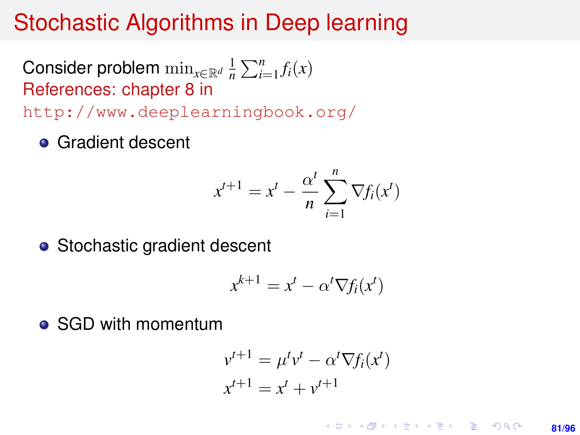Consider problem  $\min_{x \in \mathbb{R}^d} \frac{1}{n} \sum_{i=1}^n f_i(x)$ References: chapter 8 in <http://www.deeplearningbook.org/>

**• Gradient descent** 

$$
x^{t+1} = x^t - \frac{\alpha^t}{n} \sum_{i=1}^n \nabla f_i(x^t)
$$

• Stochastic gradient descent

$$
x^{k+1} = x^t - \alpha^t \nabla f_i(x^t)
$$

**• SGD with momentum** 

$$
v^{t+1} = \mu^t v^t - \alpha^t \nabla f_i(x^t)
$$

$$
x^{t+1} = x^t + v^{t+1}
$$

**KORKARK A BIK BIKA A GA A GA A GA A BIKA A BIKA A BIKA A BIKA A BIKA A BIKA A BIKA A BIKA A BIKA A BIKA A BIKA 81/96**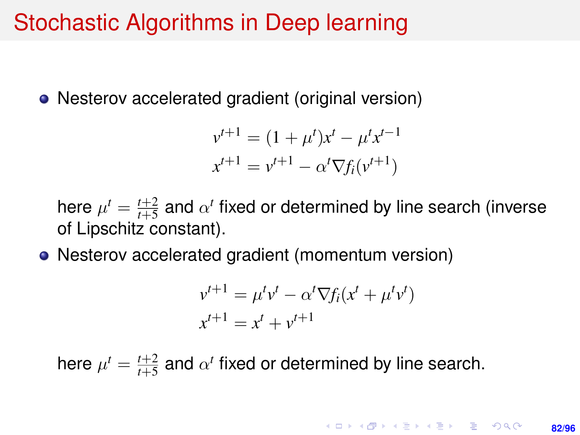• Nesterov accelerated gradient (original version)

$$
v^{t+1} = (1 + \mu^t)x^t - \mu^t x^{t-1}
$$

$$
x^{t+1} = v^{t+1} - \alpha^t \nabla f_i(v^{t+1})
$$

here  $\mu^t = \frac{t+2}{t+5}$  $\frac{t+2}{t+5}$  and  $\alpha^t$  fixed or determined by line search (inverse of Lipschitz constant).

Nesterov accelerated gradient (momentum version)

$$
v^{t+1} = \mu^t v^t - \alpha^t \nabla f_i(x^t + \mu^t v^t)
$$
  

$$
x^{t+1} = x^t + v^{t+1}
$$

here  $\mu^t = \frac{t+2}{t+5}$  $\frac{t+2}{t+5}$  and  $\alpha^t$  fixed or determined by line search.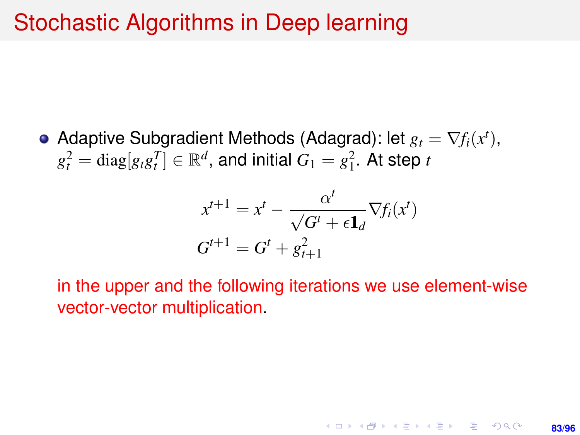Adaptive Subgradient Methods (Adagrad): let  $g_t = \nabla f_i(x^t)$ ,  $g_t^2 = \text{diag}[g_t g_t^T] \in \mathbb{R}^d$ , and initial  $G_1 = g_1^2$ . At step  $t$ 

$$
x^{t+1} = x^t - \frac{\alpha^t}{\sqrt{G^t + \epsilon \mathbf{1}_d}} \nabla f_i(x^t)
$$

$$
G^{t+1} = G^t + g_{t+1}^2
$$

in the upper and the following iterations we use element-wise vector-vector multiplication.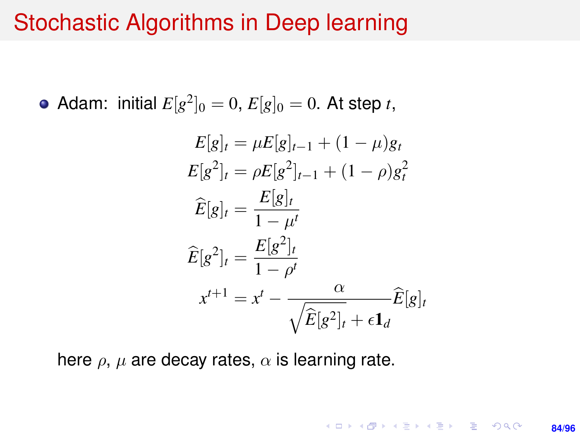Adam: initial  $E[g^2]_0 = 0$ ,  $E[g]_0 = 0$ . At step *t*,

$$
E[g]_t = \mu E[g]_{t-1} + (1 - \mu)g_t
$$
  
\n
$$
E[g^2]_t = \rho E[g^2]_{t-1} + (1 - \rho)g_t^2
$$
  
\n
$$
\widehat{E}[g]_t = \frac{E[g]_t}{1 - \mu^t}
$$
  
\n
$$
\widehat{E}[g^2]_t = \frac{E[g^2]_t}{1 - \rho^t}
$$
  
\n
$$
x^{t+1} = x^t - \frac{\alpha}{\sqrt{\widehat{E}[g^2]_t} + \epsilon \mathbf{1}_d}
$$

here  $\rho$ ,  $\mu$  are decay rates,  $\alpha$  is learning rate.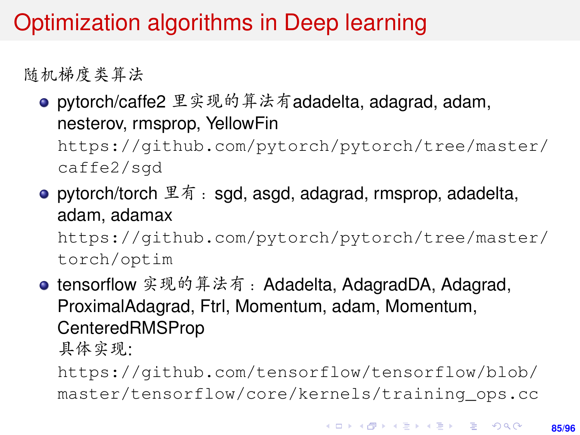# Optimization algorithms in Deep learning

<sup>随</sup>机梯度类算<sup>法</sup>

- pytorch/caffe2 里实现的算法有adadelta, adagrad, adam, nesterov, rmsprop, YellowFin [https://github.com/pytorch/pytorch/tree/master/](https://github.com/pytorch/pytorch/tree/master/caffe2/sgd) [caffe2/sgd](https://github.com/pytorch/pytorch/tree/master/caffe2/sgd)
- **•** pytorch/torch  $\mathbb{E} \bar{\eta}$ : sgd, asgd, adagrad, rmsprop, adadelta, adam, adamax

[https://github.com/pytorch/pytorch/tree/master/](https://github.com/pytorch/pytorch/tree/master/torch/optim ) [torch/optim](https://github.com/pytorch/pytorch/tree/master/torch/optim )

● tensorflow 实现的算法有: Adadelta, AdagradDA, Adagrad, ProximalAdagrad, Ftrl, Momentum, adam, Momentum, CenteredRMSProp 具体实现:

[https://github.com/tensorflow/tensorflow/blob/](https://github.com/tensorflow/tensorflow/blob/master/tensorflow/core/kernels/training_ops.cc) [master/tensorflow/core/kernels/training\\_ops.cc](https://github.com/tensorflow/tensorflow/blob/master/tensorflow/core/kernels/training_ops.cc)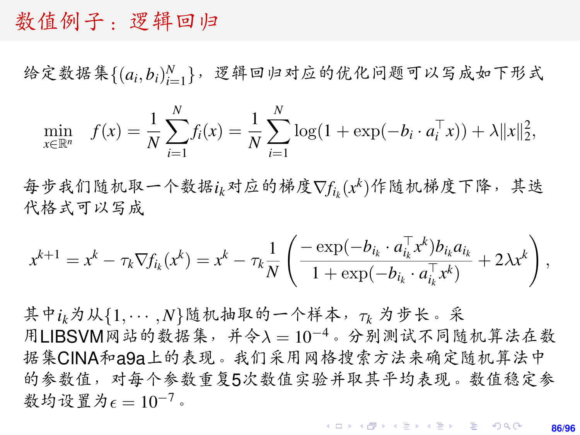#### <sup>数</sup>值例子:逻辑回归

给定数据集 $\{(a_i,b_i)_{i=1}^N\}$ ,逻辑回归对应的优化问题可以写成如下形式

$$
\min_{x \in \mathbb{R}^n} f(x) = \frac{1}{N} \sum_{i=1}^N f_i(x) = \frac{1}{N} \sum_{i=1}^N \log(1 + \exp(-b_i \cdot a_i^{\top} x)) + \lambda ||x||_2^2,
$$

每步我们随机取一个数据i<sub>k</sub>对应的梯度▽f<sub>ik</sub>(xk)作随机梯度下降,其迭<br>代格式可以写点 <sup>代</sup>格式可以写成

$$
x^{k+1} = x^k - \tau_k \nabla f_{i_k}(x^k) = x^k - \tau_k \frac{1}{N} \left( \frac{-\exp(-b_{i_k} \cdot a_{i_k}^\top x^k) b_{i_k} a_{i_k}}{1 + \exp(-b_{i_k} \cdot a_{i_k}^\top x^k)} + 2\lambda x^k \right),
$$

其中i<sub>k</sub>为从{1,..., N}随机抽取的一个样本, Tk 为步长。采 用LIBSVM网站的数据集,并令 $\lambda = 10^{-4}$ 。分别测试不同随机算法在数 <sup>据</sup>集CINA和a9a上的表现。我们采用网格搜索方法来确定随机算法<sup>中</sup> 的参数值,对每个参数重复5次数值实验并取其平均表现。数值稳定参 数均设置为  $\epsilon = 10^{-7}$ 。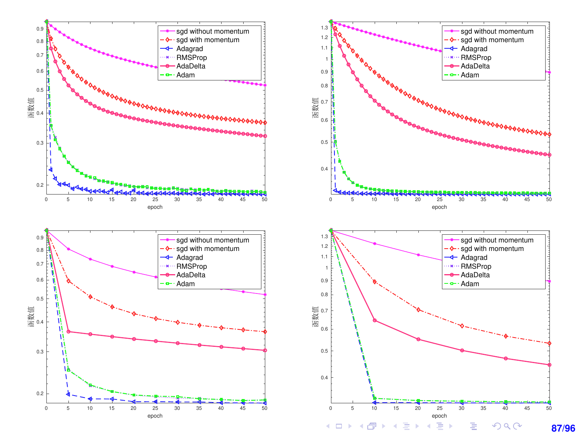



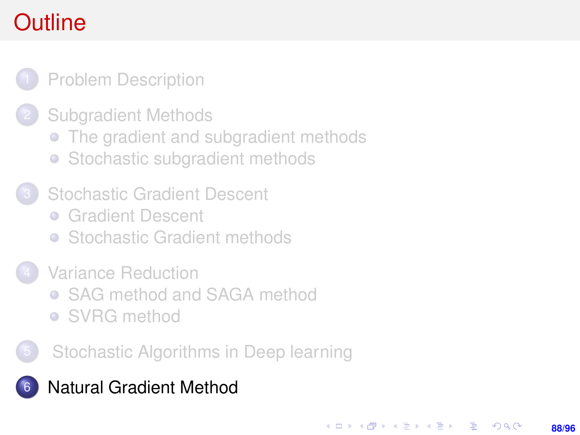# <span id="page-87-0"></span>**Outline**

#### **[Problem Description](#page-5-0)**

#### [Subgradient Methods](#page-14-0)

- [The gradient and subgradient methods](#page-15-0)
- [Stochastic subgradient methods](#page-23-0)
- **[Stochastic Gradient Descent](#page-48-0)** 
	- **[Gradient Descent](#page-49-0)**
	- **[Stochastic Gradient methods](#page-57-0)**
- **[Variance Reduction](#page-64-0) • [SAG method and SAGA method](#page-68-0)** • [SVRG method](#page-70-0)
	- 5 [Stochastic Algorithms in Deep learning](#page-79-0)

### 6 [Natural Gradient Method](#page-87-0)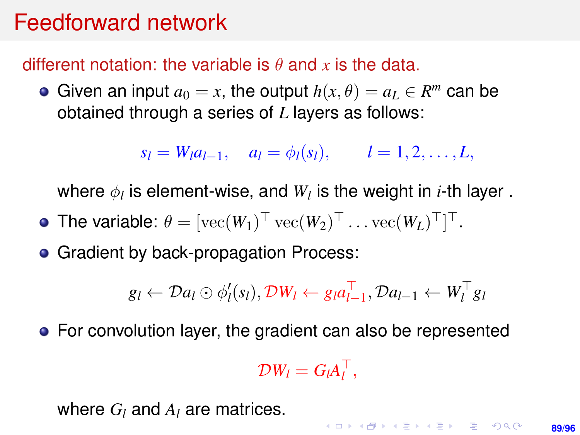## Feedforward network

#### different notation: the variable is θ and *x* is the data.

Given an input  $a_0 = x$ , the output  $h(x, \theta) = a_L \in \mathbb{R}^m$  can be obtained through a series of *L* layers as follows:

 $s_l = W_l a_{l-1}, \quad a_l = \phi_l(s_l), \quad l = 1, 2, \ldots, L,$ 

where  $\phi_l$  is element-wise, and  $W_l$  is the weight in  $i$ -th layer .

The variable:  $\theta = [\text{vec}(W_1)^\top \text{vec}(W_2)^\top \dots \text{vec}(W_L)^\top]^\top$ .

• Gradient by back-propagation Process:

$$
g_l \leftarrow \mathcal{D}a_l \odot \phi'_l(s_l), \mathcal{D}W_l \leftarrow g_l a_{l-1}^{\top}, \mathcal{D}a_{l-1} \leftarrow W_l^{\top} g_l
$$

• For convolution layer, the gradient can also be represented

$$
\mathcal{D}W_l = G_lA_l^{\top},
$$

where  $G_l$  and  $A_l$  are matrices.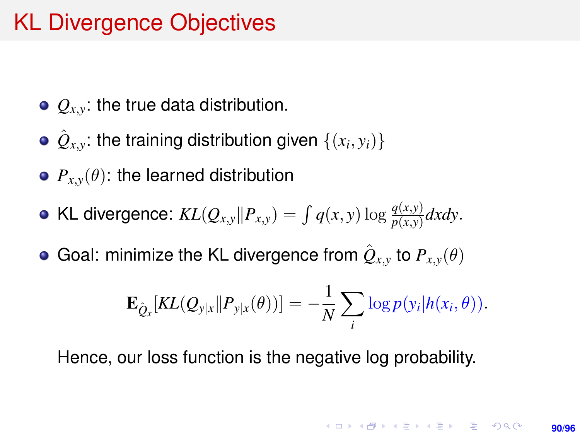## KL Divergence Objectives

- $Q_{x,y}$ : the true data distribution.
- $\hat{\mathcal{Q}}_{x,y}$ : the training distribution given  $\{(x_i, y_i)\}$
- $\bullet$  *P*<sub>*x*,*y*</sub>( $\theta$ ): the learned distribution
- KL divergence:  $KL(Q_{x,y}||P_{x,y}) = \int q(x,y) \log \frac{q(x,y)}{p(x,y)} dx dy$ .
- Goal: minimize the KL divergence from  $\hat{Q}_{x,y}$  to  $P_{x,y}(\theta)$

$$
\mathbf{E}_{\hat{Q}_x}[KL(Q_{y|x}||P_{y|x}(\theta))] = -\frac{1}{N}\sum_i \log p(y_i|h(x_i,\theta)).
$$

Hence, our loss function is the negative log probability.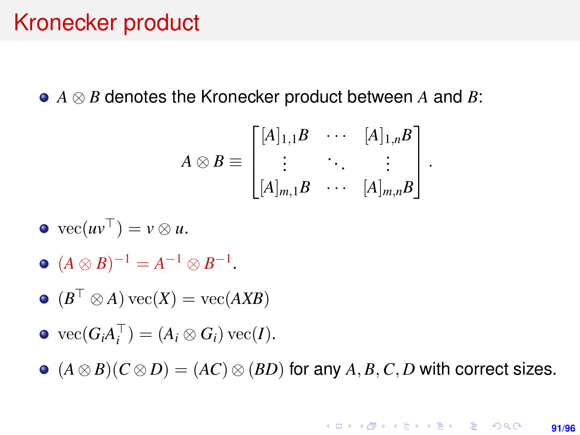## Kronecker product

*A* ⊗ *B* denotes the Kronecker product between *A* and *B*:

$$
A \otimes B \equiv \begin{bmatrix} [A]_{1,1}B & \cdots & [A]_{1,n}B \\ \vdots & \ddots & \vdots \\ [A]_{m,1}B & \cdots & [A]_{m,n}B \end{bmatrix}.
$$

$$
\bullet \ \mathrm{vec}(uv^{\top}) = v \otimes u.
$$

- $(A \otimes B)^{-1} = A^{-1} \otimes B^{-1}$ .
- $(B^{\top} \otimes A) \text{ vec}(X) = \text{vec}(AXB)$
- $\text{vec}(G_i A_i^{\top}) = (A_i \otimes G_i) \text{vec}(I).$
- $\bullet$   $(A \otimes B)(C \otimes D) = (AC) \otimes (BD)$  for any  $A, B, C, D$  with correct sizes.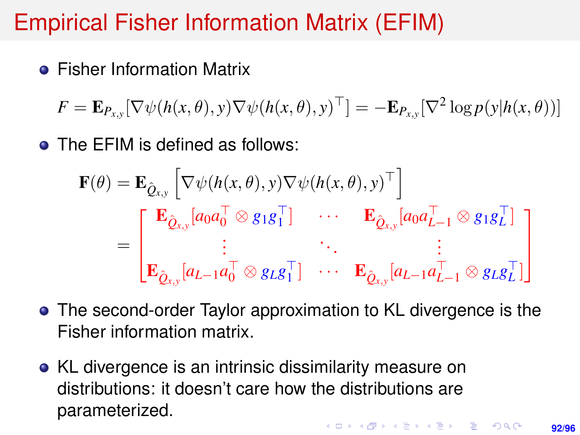# <span id="page-91-0"></span>Empirical Fisher Information Matrix (EFIM)

**•** Fisher Information Matrix

 $F = \mathbf{E}_{P_{x,y}}[\nabla \psi(h(x, \theta), y) \nabla \psi(h(x, \theta), y)^{\top}] = -\mathbf{E}_{P_{x,y}}[\nabla^2 \log p(y|h(x, \theta))]$ 

• The EFIM is defined as follows:

$$
\mathbf{F}(\theta) = \mathbf{E}_{\hat{Q}_{x,y}} \left[ \nabla \psi(h(x, \theta), y) \nabla \psi(h(x, \theta), y)^{\top} \right] \n= \begin{bmatrix}\n\mathbf{E}_{\hat{Q}_{x,y}} [a_0 a_0^{\top} \otimes g_1 g_1^{\top}] & \cdots & \mathbf{E}_{\hat{Q}_{x,y}} [a_0 a_{L-1}^{\top} \otimes g_1 g_L^{\top}] \\
\vdots & \ddots & \vdots \\
\mathbf{E}_{\hat{Q}_{x,y}} [a_{L-1} a_0^{\top} \otimes g_L g_1^{\top}] & \cdots & \mathbf{E}_{\hat{Q}_{x,y}} [a_{L-1} a_{L-1}^{\top} \otimes g_L g_L^{\top}] \n\end{bmatrix}
$$

- The second-order Taylor approximation to KL divergence is the Fisher information matrix.
- KL divergence is an intrinsic dissimilarity measure on distributions: it doesn't care how the distributions are parameterized.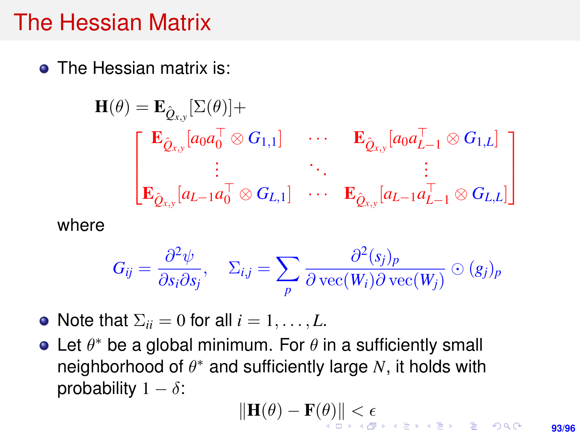### <span id="page-92-0"></span>The Hessian Matrix

• The Hessian matrix is:

$$
\mathbf{H}(\theta) = \mathbf{E}_{\hat{Q}_{x,y}}[\Sigma(\theta)] + \begin{bmatrix} \mathbf{E}_{\hat{Q}_{x,y}}[\alpha_0 a_0^\top \otimes G_{1,1}] & \cdots & \mathbf{E}_{\hat{Q}_{x,y}}[a_0 a_{L-1}^\top \otimes G_{1,L}] \\ \vdots & \ddots & \vdots \\ \mathbf{E}_{\hat{Q}_{x,y}}[a_{L-1} a_0^\top \otimes G_{L,1}] & \cdots & \mathbf{E}_{\hat{Q}_{x,y}}[a_{L-1} a_{L-1}^\top \otimes G_{L,L}] \end{bmatrix}
$$

where

$$
G_{ij} = \frac{\partial^2 \psi}{\partial s_i \partial s_j}, \quad \Sigma_{i,j} = \sum_p \frac{\partial^2 (s_j)_p}{\partial \text{ vec}(W_i) \partial \text{ vec}(W_j)} \odot (g_j)_p
$$

• Note that  $\Sigma_{ii} = 0$  for all  $i = 1, \ldots, L$ .

Let  $\theta^*$  be a global minimum. For  $\theta$  in a sufficiently small neighborhood of  $\theta^*$  and sufficiently large  $N$ , it holds with probability  $1 - \delta$ :

$$
\|\mathbf{H}(\theta)-\mathbf{F}(\theta)\|<\epsilon
$$

 $2Q$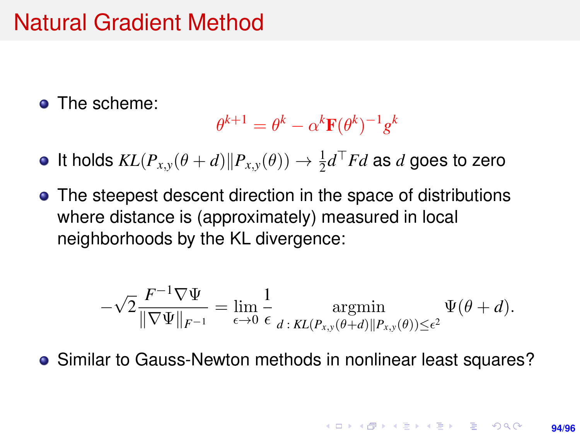## <span id="page-93-0"></span>Natural Gradient Method

• The scheme:

$$
\theta^{k+1} = \theta^k - \alpha^k \mathbf{F}(\theta^k)^{-1} g^k
$$

It holds  $KL(P_{x,y}(\theta + d) \| P_{x,y}(\theta)) \rightarrow \frac{1}{2} d^\top F d$  as *d* goes to zero

• The steepest descent direction in the space of distributions where distance is (approximately) measured in local neighborhoods by the KL divergence:

$$
-\sqrt{2}\frac{F^{-1}\nabla\Psi}{\|\nabla\Psi\|_{F^{-1}}}=\lim_{\epsilon\to 0}\frac{1}{\epsilon}\operatorname*{argmin}_{d\,:\, KL(P_{x,y}(\theta+d)\|P_{x,y}(\theta))\leq\epsilon^2}\Psi(\theta+d).
$$

Similar to Gauss-Newton methods in nonlinear least squares?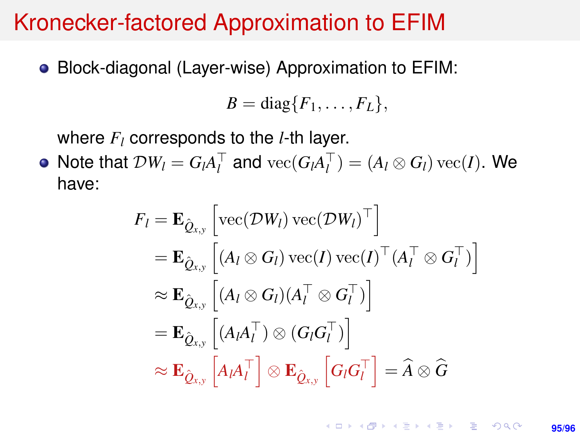### Kronecker-factored Approximation to EFIM

Block-diagonal (Layer-wise) Approximation to EFIM:

$$
B=\mathrm{diag}\{F_1,\ldots,F_L\},\
$$

where *F<sup>l</sup>* corresponds to the *l*-th layer.

Note that  $DW_l = G_l A_l^\top$  and  $\text{vec}(G_l A_l^\top) = (A_l \otimes G_l) \text{vec}(I)$ . We have:

$$
F_l = \mathbf{E}_{\hat{Q}_{x,y}} \left[ \text{vec}(\mathcal{D}W_l) \text{vec}(\mathcal{D}W_l)^\top \right]
$$
  
\n
$$
= \mathbf{E}_{\hat{Q}_{x,y}} \left[ (A_l \otimes G_l) \text{vec}(I) \text{vec}(I)^\top (A_l^\top \otimes G_l^\top) \right]
$$
  
\n
$$
\approx \mathbf{E}_{\hat{Q}_{x,y}} \left[ (A_l \otimes G_l) (A_l^\top \otimes G_l^\top) \right]
$$
  
\n
$$
= \mathbf{E}_{\hat{Q}_{x,y}} \left[ (A_l A_l^\top) \otimes (G_l G_l^\top) \right]
$$
  
\n
$$
\approx \mathbf{E}_{\hat{Q}_{x,y}} \left[ A_l A_l^\top \right] \otimes \mathbf{E}_{\hat{Q}_{x,y}} \left[ G_l G_l^\top \right] = \hat{A} \otimes \hat{G}
$$